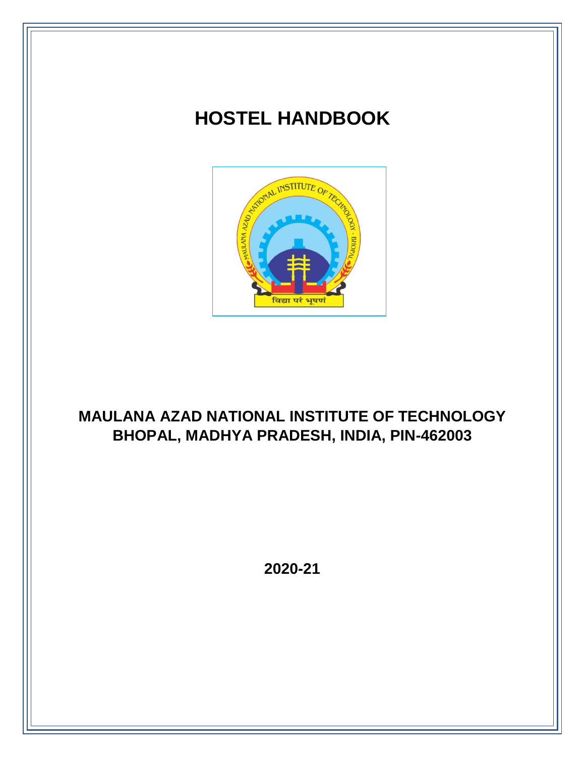# **HOSTEL HANDBOOK**



## **MAULANA AZAD NATIONAL INSTITUTE OF TECHNOLOGY BHOPAL, MADHYA PRADESH, INDIA, PIN-462003**

**2020-21**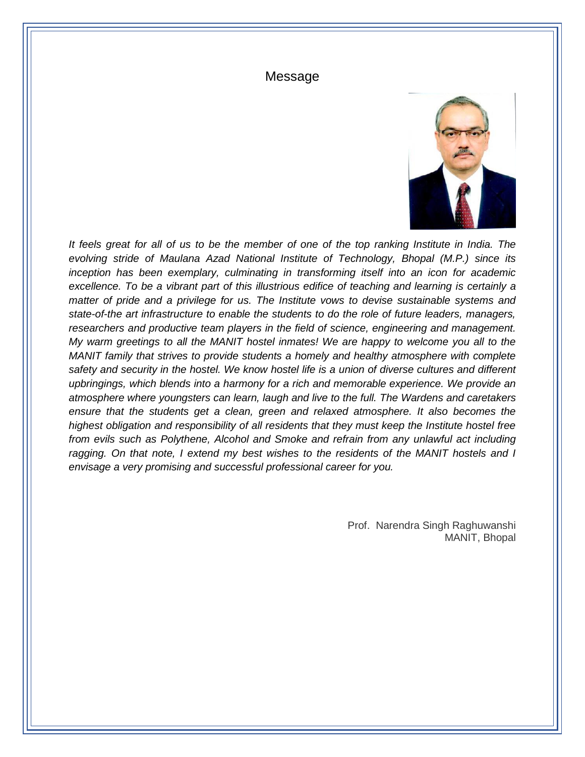#### Message



*It feels great for all of us to be the member of one of the top ranking Institute in India. The evolving stride of Maulana Azad National Institute of Technology, Bhopal (M.P.) since its inception has been exemplary, culminating in transforming itself into an icon for academic excellence. To be a vibrant part of this illustrious edifice of teaching and learning is certainly a matter of pride and a privilege for us. The Institute vows to devise sustainable systems and state-of-the art infrastructure to enable the students to do the role of future leaders, managers, researchers and productive team players in the field of science, engineering and management. My warm greetings to all the MANIT hostel inmates! We are happy to welcome you all to the MANIT family that strives to provide students a homely and healthy atmosphere with complete safety and security in the hostel. We know hostel life is a union of diverse cultures and different upbringings, which blends into a harmony for a rich and memorable experience. We provide an atmosphere where youngsters can learn, laugh and live to the full. The Wardens and caretakers ensure that the students get a clean, green and relaxed atmosphere. It also becomes the highest obligation and responsibility of all residents that they must keep the Institute hostel free from evils such as Polythene, Alcohol and Smoke and refrain from any unlawful act including ragging. On that note, I extend my best wishes to the residents of the MANIT hostels and I envisage a very promising and successful professional career for you.*

> Prof. Narendra Singh Raghuwanshi MANIT, Bhopal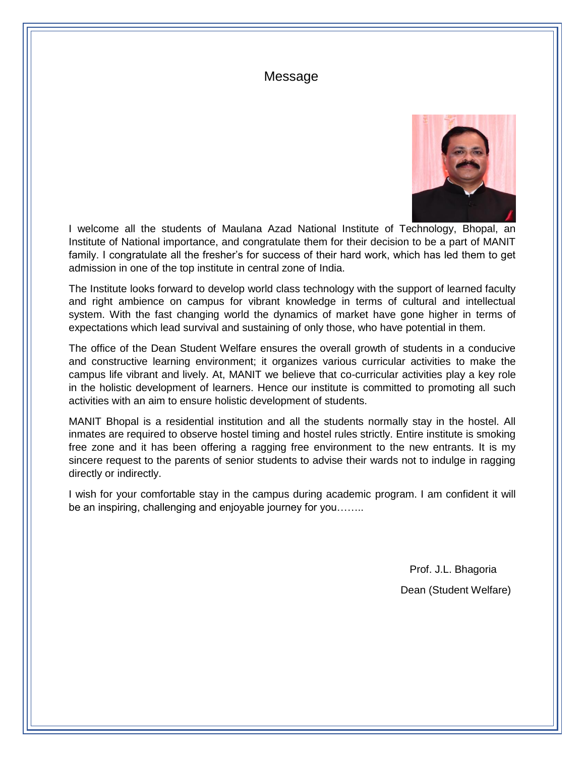### Message



I welcome all the students of Maulana Azad National Institute of Technology, Bhopal, an Institute of National importance, and congratulate them for their decision to be a part of MANIT family. I congratulate all the fresher's for success of their hard work, which has led them to get admission in one of the top institute in central zone of India.

The Institute looks forward to develop world class technology with the support of learned faculty and right ambience on campus for vibrant knowledge in terms of cultural and intellectual system. With the fast changing world the dynamics of market have gone higher in terms of expectations which lead survival and sustaining of only those, who have potential in them.

The office of the Dean Student Welfare ensures the overall growth of students in a conducive and constructive learning environment; it organizes various curricular activities to make the campus life vibrant and lively. At, MANIT we believe that co-curricular activities play a key role in the holistic development of learners. Hence our institute is committed to promoting all such activities with an aim to ensure holistic development of students.

MANIT Bhopal is a residential institution and all the students normally stay in the hostel. All inmates are required to observe hostel timing and hostel rules strictly. Entire institute is smoking free zone and it has been offering a ragging free environment to the new entrants. It is my sincere request to the parents of senior students to advise their wards not to indulge in ragging directly or indirectly.

I wish for your comfortable stay in the campus during academic program. I am confident it will be an inspiring, challenging and enjoyable journey for you……..

> Prof. J.L. Bhagoria Dean (Student Welfare)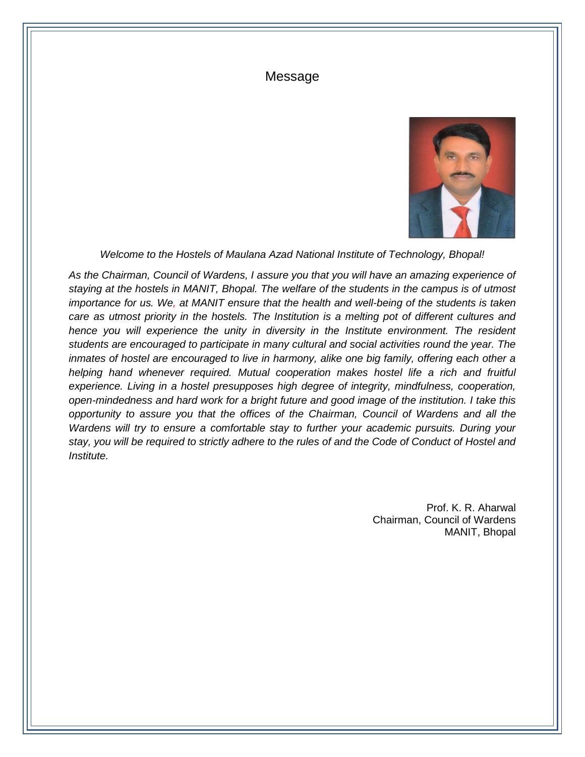#### Message



*Welcome to the Hostels of Maulana Azad National Institute of Technology, Bhopal!*

*As the Chairman, Council of Wardens, I assure you that you will have an amazing experience of staying at the hostels in MANIT, Bhopal. The welfare of the students in the campus is of utmost importance for us. We, at MANIT ensure that the health and well-being of the students is taken care as utmost priority in the hostels. The Institution is a melting pot of different cultures and hence you will experience the unity in diversity in the Institute environment. The resident students are encouraged to participate in many cultural and social activities round the year. The inmates of hostel are encouraged to live in harmony, alike one big family, offering each other a helping hand whenever required. Mutual cooperation makes hostel life a rich and fruitful experience. Living in a hostel presupposes high degree of integrity, mindfulness, cooperation, open-mindedness and hard work for a bright future and good image of the institution. I take this opportunity to assure you that the offices of the Chairman, Council of Wardens and all the Wardens will try to ensure a comfortable stay to further your academic pursuits. During your stay, you will be required to strictly adhere to the rules of and the Code of Conduct of Hostel and Institute.* 

> Prof. K. R. Aharwal Chairman, Council of Wardens MANIT, Bhopal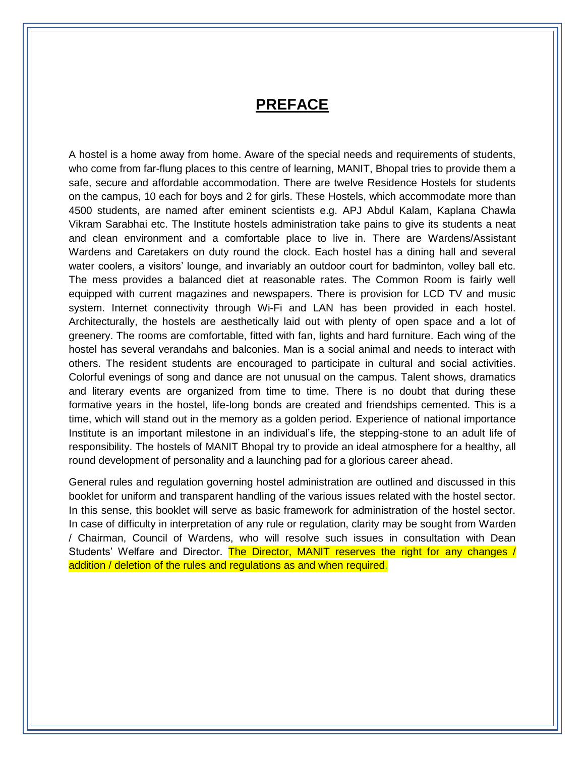## **PREFACE**

A hostel is a home away from home. Aware of the special needs and requirements of students, who come from far-flung places to this centre of learning, MANIT, Bhopal tries to provide them a safe, secure and affordable accommodation. There are twelve Residence Hostels for students on the campus, 10 each for boys and 2 for girls. These Hostels, which accommodate more than 4500 students, are named after eminent scientists e.g. APJ Abdul Kalam, Kaplana Chawla Vikram Sarabhai etc. The Institute hostels administration take pains to give its students a neat and clean environment and a comfortable place to live in. There are Wardens/Assistant Wardens and Caretakers on duty round the clock. Each hostel has a dining hall and several water coolers, a visitors' lounge, and invariably an outdoor court for badminton, volley ball etc. The mess provides a balanced diet at reasonable rates. The Common Room is fairly well equipped with current magazines and newspapers. There is provision for LCD TV and music system. Internet connectivity through Wi-Fi and LAN has been provided in each hostel. Architecturally, the hostels are aesthetically laid out with plenty of open space and a lot of greenery. The rooms are comfortable, fitted with fan, lights and hard furniture. Each wing of the hostel has several verandahs and balconies. Man is a social animal and needs to interact with others. The resident students are encouraged to participate in cultural and social activities. Colorful evenings of song and dance are not unusual on the campus. Talent shows, dramatics and literary events are organized from time to time. There is no doubt that during these formative years in the hostel, life-long bonds are created and friendships cemented. This is a time, which will stand out in the memory as a golden period. Experience of national importance Institute is an important milestone in an individual's life, the stepping-stone to an adult life of responsibility. The hostels of MANIT Bhopal try to provide an ideal atmosphere for a healthy, all round development of personality and a launching pad for a glorious career ahead.

General rules and regulation governing hostel administration are outlined and discussed in this booklet for uniform and transparent handling of the various issues related with the hostel sector. In this sense, this booklet will serve as basic framework for administration of the hostel sector. In case of difficulty in interpretation of any rule or regulation, clarity may be sought from Warden / Chairman, Council of Wardens, who will resolve such issues in consultation with Dean Students' Welfare and Director. The Director, MANIT reserves the right for any changes / addition / deletion of the rules and regulations as and when required.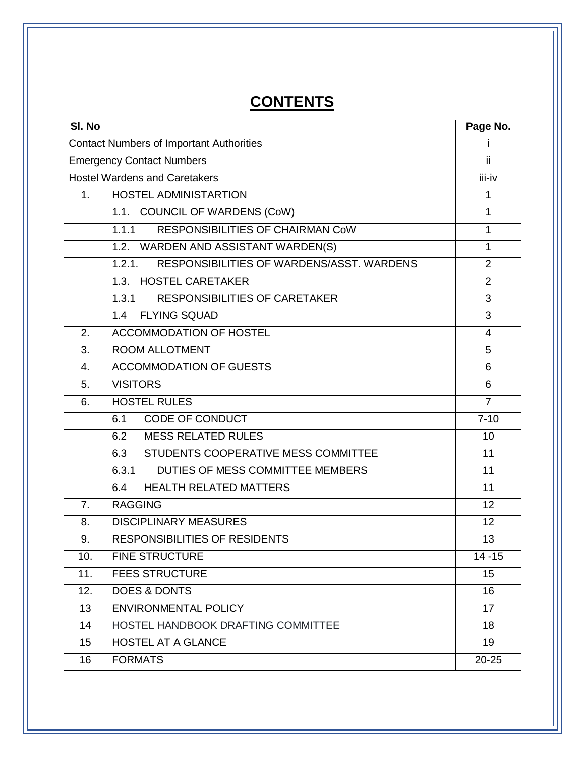# **CONTENTS**

| SI. No         |                 |                                                 | Page No.       |
|----------------|-----------------|-------------------------------------------------|----------------|
|                |                 | <b>Contact Numbers of Important Authorities</b> |                |
|                |                 | <b>Emergency Contact Numbers</b>                | ii.            |
|                |                 | <b>Hostel Wardens and Caretakers</b>            | iii-iv         |
| 1 <sub>1</sub> |                 | <b>HOSTEL ADMINISTARTION</b>                    | 1              |
|                | 1.1.            | <b>COUNCIL OF WARDENS (CoW)</b>                 | $\overline{1}$ |
|                | 1.1.1           | <b>RESPONSIBILITIES OF CHAIRMAN CoW</b>         | 1              |
|                | 1.2.            | WARDEN AND ASSISTANT WARDEN(S)                  | $\overline{1}$ |
|                | 1.2.1.          | RESPONSIBILITIES OF WARDENS/ASST. WARDENS       | $\overline{2}$ |
|                | 1.3.            | <b>HOSTEL CARETAKER</b>                         | $\overline{2}$ |
|                | 1.3.1           | <b>RESPONSIBILITIES OF CARETAKER</b>            | 3              |
|                | 1.4             | <b>FLYING SQUAD</b>                             | $\overline{3}$ |
| 2.             |                 | <b>ACCOMMODATION OF HOSTEL</b>                  | $\overline{4}$ |
| 3.             |                 | <b>ROOM ALLOTMENT</b>                           | 5              |
| 4.             |                 | <b>ACCOMMODATION OF GUESTS</b>                  | 6              |
| 5.             | <b>VISITORS</b> |                                                 | 6              |
| 6.             |                 | <b>HOSTEL RULES</b>                             | $\overline{7}$ |
|                | 6.1             | CODE OF CONDUCT                                 | $7 - 10$       |
|                | 6.2             | <b>MESS RELATED RULES</b>                       | 10             |
|                | 6.3             | STUDENTS COOPERATIVE MESS COMMITTEE             | 11             |
|                | 6.3.1           | DUTIES OF MESS COMMITTEE MEMBERS                | 11             |
|                | 6.4             | <b>HEALTH RELATED MATTERS</b>                   | 11             |
| 7 <sub>1</sub> | <b>RAGGING</b>  |                                                 | 12             |
| 8.             |                 | <b>DISCIPLINARY MEASURES</b>                    | 12             |
| 9.             |                 | <b>RESPONSIBILITIES OF RESIDENTS</b>            | 13             |
| 10.            |                 | <b>FINE STRUCTURE</b>                           | $14 - 15$      |
| 11.            |                 | <b>FEES STRUCTURE</b>                           | 15             |
| 12.            |                 | <b>DOES &amp; DONTS</b>                         | 16             |
| 13             |                 | <b>ENVIRONMENTAL POLICY</b>                     | 17             |
| 14             |                 | HOSTEL HANDBOOK DRAFTING COMMITTEE              | 18             |
| 15             |                 | <b>HOSTEL AT A GLANCE</b>                       | 19             |
| 16             | <b>FORMATS</b>  |                                                 | $20 - 25$      |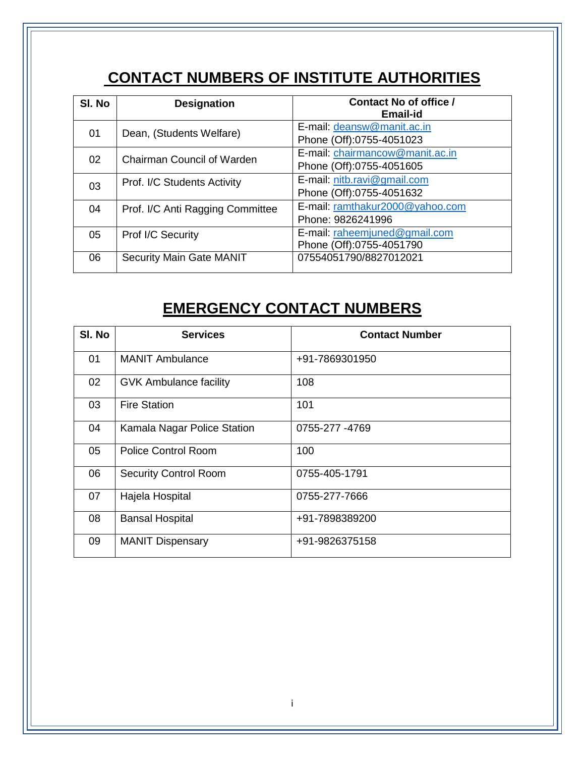## **CONTACT NUMBERS OF INSTITUTE AUTHORITIES**

| SI. No | <b>Designation</b>                | <b>Contact No of office /</b><br><b>Email-id</b>            |
|--------|-----------------------------------|-------------------------------------------------------------|
| 01     | Dean, (Students Welfare)          | E-mail: deansw@manit.ac.in<br>Phone (Off):0755-4051023      |
| 02     | <b>Chairman Council of Warden</b> | E-mail: chairmancow@manit.ac.in<br>Phone (Off):0755-4051605 |
| 03     | Prof. I/C Students Activity       | E-mail: nitb.ravi@gmail.com<br>Phone (Off):0755-4051632     |
| 04     | Prof. I/C Anti Ragging Committee  | E-mail: ramthakur2000@yahoo.com<br>Phone: 9826241996        |
| 05     | Prof I/C Security                 | E-mail: raheemjuned@gmail.com<br>Phone (Off):0755-4051790   |
| 06     | <b>Security Main Gate MANIT</b>   | 07554051790/8827012021                                      |

## **EMERGENCY CONTACT NUMBERS**

| SI. No | <b>Services</b>               | <b>Contact Number</b> |
|--------|-------------------------------|-----------------------|
| 01     | <b>MANIT Ambulance</b>        | +91-7869301950        |
| 02     | <b>GVK Ambulance facility</b> | 108                   |
| 03     | <b>Fire Station</b>           | 101                   |
| 04     | Kamala Nagar Police Station   | 0755-277 -4769        |
| 05     | <b>Police Control Room</b>    | 100                   |
| 06     | <b>Security Control Room</b>  | 0755-405-1791         |
| 07     | Hajela Hospital               | 0755-277-7666         |
| 08     | <b>Bansal Hospital</b>        | +91-7898389200        |
| 09     | <b>MANIT Dispensary</b>       | +91-9826375158        |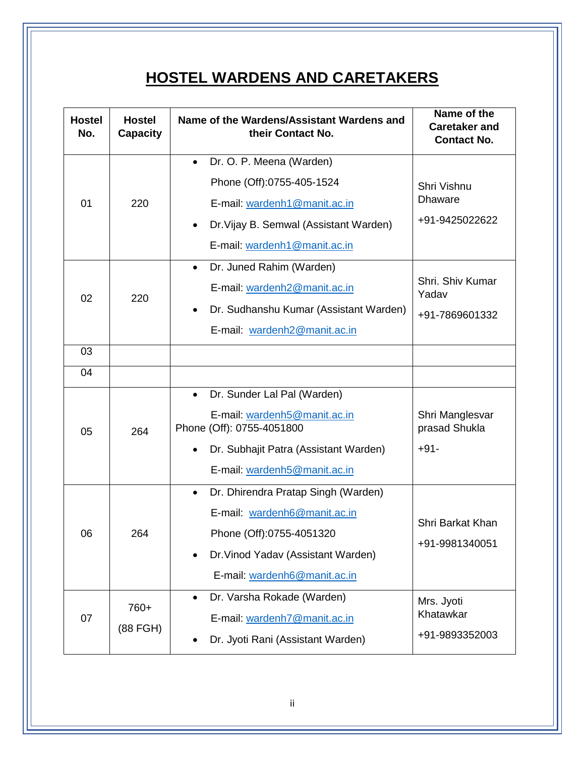## **HOSTEL WARDENS AND CARETAKERS**

| <b>Hostel</b><br>No. | <b>Hostel</b><br><b>Capacity</b> | Name of the Wardens/Assistant Wardens and<br>their Contact No.                                                                                                                                                                                                                                                                        | Name of the<br><b>Caretaker and</b><br><b>Contact No.</b>                                      |
|----------------------|----------------------------------|---------------------------------------------------------------------------------------------------------------------------------------------------------------------------------------------------------------------------------------------------------------------------------------------------------------------------------------|------------------------------------------------------------------------------------------------|
| 01<br>02             | 220<br>220                       | Dr. O. P. Meena (Warden)<br>$\bullet$<br>Phone (Off):0755-405-1524<br>E-mail: wardenh1@manit.ac.in<br>Dr. Vijay B. Semwal (Assistant Warden)<br>$\bullet$<br>E-mail: wardenh1@manit.ac.in<br>Dr. Juned Rahim (Warden)<br>$\bullet$<br>E-mail: wardenh <sub>2@manit.ac.in</sub><br>Dr. Sudhanshu Kumar (Assistant Warden)<br>$\bullet$ | Shri Vishnu<br><b>Dhaware</b><br>+91-9425022622<br>Shri, Shiv Kumar<br>Yadav<br>+91-7869601332 |
| 03<br>04             |                                  | E-mail: wardenh <sub>2@manit.ac.in</sub>                                                                                                                                                                                                                                                                                              |                                                                                                |
| 05                   | 264                              | Dr. Sunder Lal Pal (Warden)<br>$\bullet$<br>E-mail: wardenh5@manit.ac.in<br>Phone (Off): 0755-4051800<br>Dr. Subhajit Patra (Assistant Warden)<br>E-mail: wardenh5@manit.ac.in                                                                                                                                                        | Shri Manglesvar<br>prasad Shukla<br>$+91-$                                                     |
| 06                   | 264                              | Dr. Dhirendra Pratap Singh (Warden)<br>$\bullet$<br>E-mail: wardenh6@manit.ac.in<br>Phone (Off):0755-4051320<br>Dr. Vinod Yadav (Assistant Warden)<br>E-mail: wardenh6@manit.ac.in                                                                                                                                                    | Shri Barkat Khan<br>+91-9981340051                                                             |
| 07                   | 760+<br>(88 FGH)                 | Dr. Varsha Rokade (Warden)<br>$\bullet$<br>E-mail: wardenh7@manit.ac.in<br>Dr. Jyoti Rani (Assistant Warden)                                                                                                                                                                                                                          | Mrs. Jyoti<br>Khatawkar<br>+91-9893352003                                                      |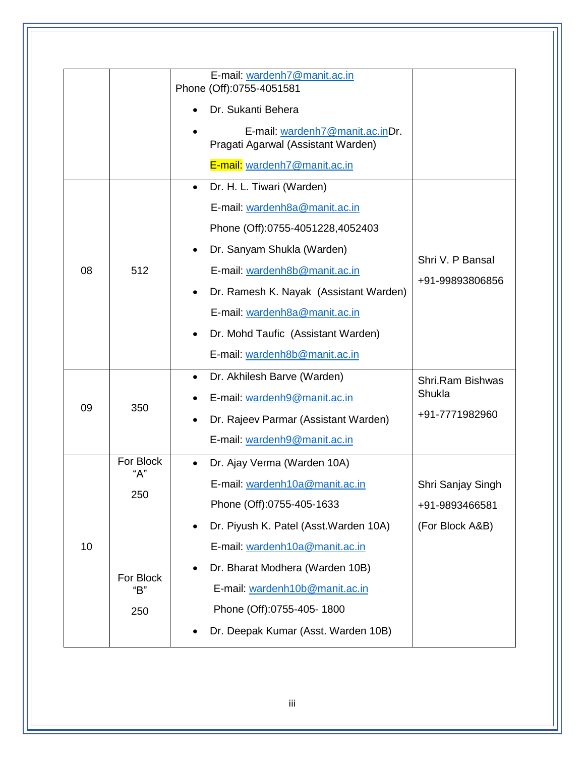|    |                  | E-mail: wardenh7@manit.ac.in<br>Phone (Off):0755-4051581              |                   |
|----|------------------|-----------------------------------------------------------------------|-------------------|
|    |                  | Dr. Sukanti Behera                                                    |                   |
|    |                  | E-mail: wardenh7@manit.ac.inDr.<br>Pragati Agarwal (Assistant Warden) |                   |
|    |                  | E-mail: wardenh7@manit.ac.in                                          |                   |
|    |                  | Dr. H. L. Tiwari (Warden)<br>$\bullet$                                |                   |
|    |                  | E-mail: wardenh8a@manit.ac.in                                         |                   |
|    |                  | Phone (Off):0755-4051228,4052403                                      |                   |
|    |                  | Dr. Sanyam Shukla (Warden)                                            |                   |
| 08 | 512              | E-mail: wardenh8b@manit.ac.in                                         | Shri V. P Bansal  |
|    |                  | Dr. Ramesh K. Nayak (Assistant Warden)<br>$\bullet$                   | +91-99893806856   |
|    |                  | E-mail: wardenh8a@manit.ac.in                                         |                   |
|    |                  | Dr. Mohd Taufic (Assistant Warden)                                    |                   |
|    |                  | E-mail: wardenh8b@manit.ac.in                                         |                   |
|    |                  | Dr. Akhilesh Barve (Warden)<br>$\bullet$                              | Shri.Ram Bishwas  |
|    |                  | E-mail: wardenh9@manit.ac.in                                          | Shukla            |
| 09 | 350              | Dr. Rajeev Parmar (Assistant Warden)<br>$\bullet$                     | +91-7771982960    |
|    |                  | E-mail: wardenh9@manit.ac.in                                          |                   |
|    | For Block        | Dr. Ajay Verma (Warden 10A)                                           |                   |
|    | "A"              | E-mail: wardenh10a@manit.ac.in                                        | Shri Sanjay Singh |
|    | 250              | Phone (Off):0755-405-1633                                             | +91-9893466581    |
|    |                  | Dr. Piyush K. Patel (Asst. Warden 10A)                                | (For Block A&B)   |
| 10 |                  | E-mail: wardenh10a@manit.ac.in                                        |                   |
|    |                  | Dr. Bharat Modhera (Warden 10B)                                       |                   |
|    | For Block<br>"В" | E-mail: wardenh10b@manit.ac.in                                        |                   |
|    | 250              | Phone (Off):0755-405-1800                                             |                   |
|    |                  | Dr. Deepak Kumar (Asst. Warden 10B)                                   |                   |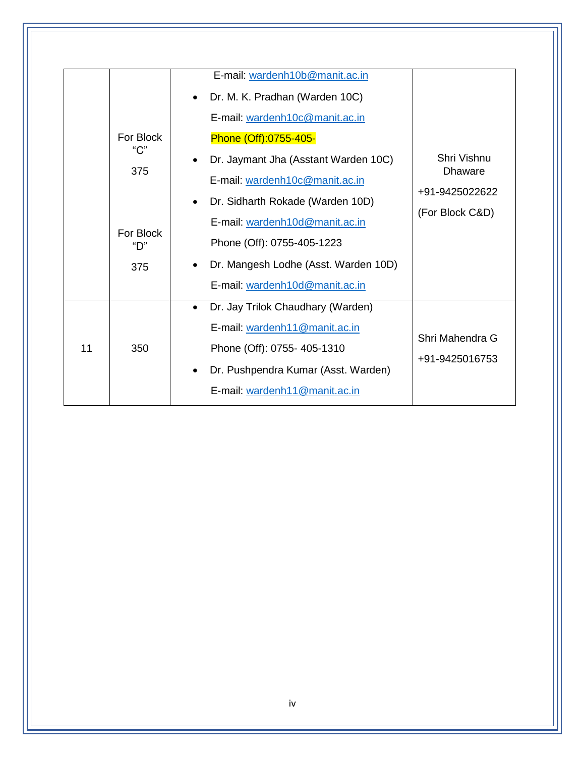|    | For Block<br>$C$ "<br>375<br>For Block<br>"D"<br>375 | E-mail: wardenh10b@manit.ac.in<br>Dr. M. K. Pradhan (Warden 10C)<br>E-mail: wardenh10c@manit.ac.in<br>Phone (Off):0755-405-<br>Dr. Jaymant Jha (Asstant Warden 10C)<br>E-mail: wardenh10c@manit.ac.in<br>Dr. Sidharth Rokade (Warden 10D)<br>E-mail: wardenh10d@manit.ac.in<br>Phone (Off): 0755-405-1223<br>Dr. Mangesh Lodhe (Asst. Warden 10D)<br>E-mail: wardenh10d@manit.ac.in | Shri Vishnu<br><b>Dhaware</b><br>+91-9425022622<br>(For Block C&D) |
|----|------------------------------------------------------|-------------------------------------------------------------------------------------------------------------------------------------------------------------------------------------------------------------------------------------------------------------------------------------------------------------------------------------------------------------------------------------|--------------------------------------------------------------------|
| 11 | 350                                                  | Dr. Jay Trilok Chaudhary (Warden)<br>$\bullet$<br>E-mail: wardenh11@manit.ac.in<br>Phone (Off): 0755-405-1310<br>Dr. Pushpendra Kumar (Asst. Warden)<br>E-mail: wardenh11@manit.ac.in                                                                                                                                                                                               | Shri Mahendra G<br>+91-9425016753                                  |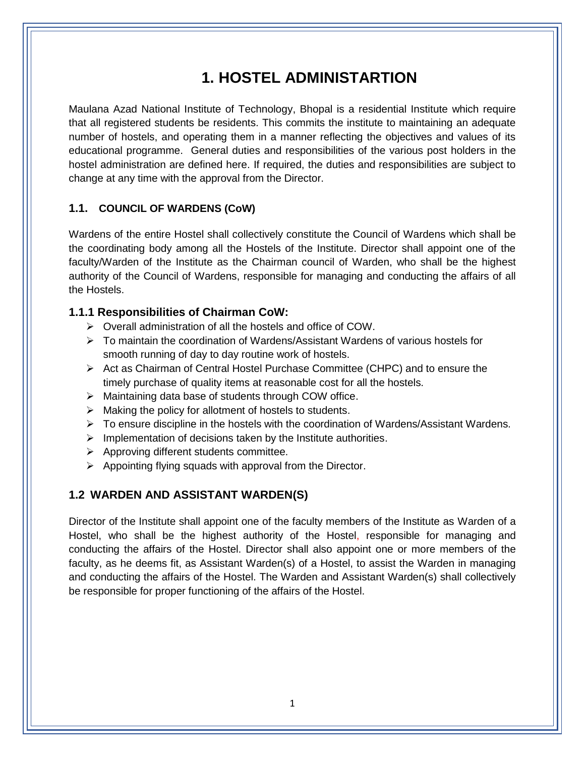## **1. HOSTEL ADMINISTARTION**

Maulana Azad National Institute of Technology, Bhopal is a residential Institute which require that all registered students be residents. This commits the institute to maintaining an adequate number of hostels, and operating them in a manner reflecting the objectives and values of its educational programme. General duties and responsibilities of the various post holders in the hostel administration are defined here. If required, the duties and responsibilities are subject to change at any time with the approval from the Director.

### **1.1. COUNCIL OF WARDENS (CoW)**

Wardens of the entire Hostel shall collectively constitute the Council of Wardens which shall be the coordinating body among all the Hostels of the Institute. Director shall appoint one of the faculty/Warden of the Institute as the Chairman council of Warden, who shall be the highest authority of the Council of Wardens, responsible for managing and conducting the affairs of all the Hostels.

### **1.1.1 Responsibilities of Chairman CoW:**

- Overall administration of all the hostels and office of COW.
- $\triangleright$  To maintain the coordination of Wardens/Assistant Wardens of various hostels for smooth running of day to day routine work of hostels.
- $\triangleright$  Act as Chairman of Central Hostel Purchase Committee (CHPC) and to ensure the timely purchase of quality items at reasonable cost for all the hostels.
- $\triangleright$  Maintaining data base of students through COW office.
- $\triangleright$  Making the policy for allotment of hostels to students.
- $\triangleright$  To ensure discipline in the hostels with the coordination of Wardens/Assistant Wardens.
- $\triangleright$  Implementation of decisions taken by the Institute authorities.
- $\triangleright$  Approving different students committee.
- $\triangleright$  Appointing flying squads with approval from the Director.

### **1.2 WARDEN AND ASSISTANT WARDEN(S)**

Director of the Institute shall appoint one of the faculty members of the Institute as Warden of a Hostel, who shall be the highest authority of the Hostel, responsible for managing and conducting the affairs of the Hostel. Director shall also appoint one or more members of the faculty, as he deems fit, as Assistant Warden(s) of a Hostel, to assist the Warden in managing and conducting the affairs of the Hostel. The Warden and Assistant Warden(s) shall collectively be responsible for proper functioning of the affairs of the Hostel.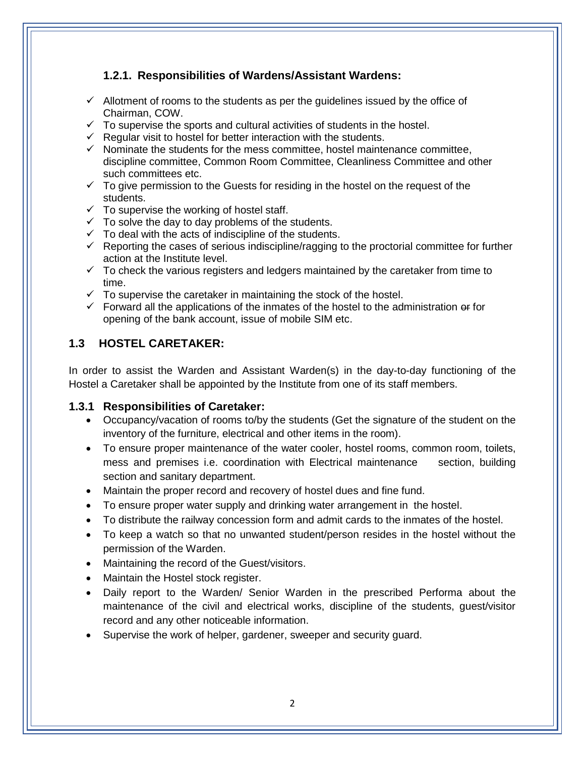## **1.2.1. Responsibilities of Wardens/Assistant Wardens:**

- $\checkmark$  Allotment of rooms to the students as per the quidelines issued by the office of Chairman, COW.
- $\checkmark$  To supervise the sports and cultural activities of students in the hostel.
- $\checkmark$  Regular visit to hostel for better interaction with the students.
- $\checkmark$  Nominate the students for the mess committee, hostel maintenance committee, discipline committee, Common Room Committee, Cleanliness Committee and other such committees etc.
- $\checkmark$  To give permission to the Guests for residing in the hostel on the request of the students.
- $\checkmark$  To supervise the working of hostel staff.
- $\checkmark$  To solve the day to day problems of the students.
- $\checkmark$  To deal with the acts of indiscipline of the students.
- $\checkmark$  Reporting the cases of serious indiscipline/ragging to the proctorial committee for further action at the Institute level.
- $\checkmark$  To check the various registers and ledgers maintained by the caretaker from time to time.
- $\checkmark$  To supervise the caretaker in maintaining the stock of the hostel.
- $\checkmark$  Forward all the applications of the inmates of the hostel to the administration  $\hat{\theta}$  or opening of the bank account, issue of mobile SIM etc.

### **1.3 HOSTEL CARETAKER:**

In order to assist the Warden and Assistant Warden(s) in the day-to-day functioning of the Hostel a Caretaker shall be appointed by the Institute from one of its staff members.

### **1.3.1 Responsibilities of Caretaker:**

- Occupancy/vacation of rooms to/by the students (Get the signature of the student on the inventory of the furniture, electrical and other items in the room).
- To ensure proper maintenance of the water cooler, hostel rooms, common room, toilets, mess and premises i.e. coordination with Electrical maintenance section, building section and sanitary department.
- Maintain the proper record and recovery of hostel dues and fine fund.
- To ensure proper water supply and drinking water arrangement in the hostel.
- To distribute the railway concession form and admit cards to the inmates of the hostel.
- To keep a watch so that no unwanted student/person resides in the hostel without the permission of the Warden.
- Maintaining the record of the Guest/visitors.
- Maintain the Hostel stock register.
- Daily report to the Warden/ Senior Warden in the prescribed Performa about the maintenance of the civil and electrical works, discipline of the students, guest/visitor record and any other noticeable information.
- Supervise the work of helper, gardener, sweeper and security guard.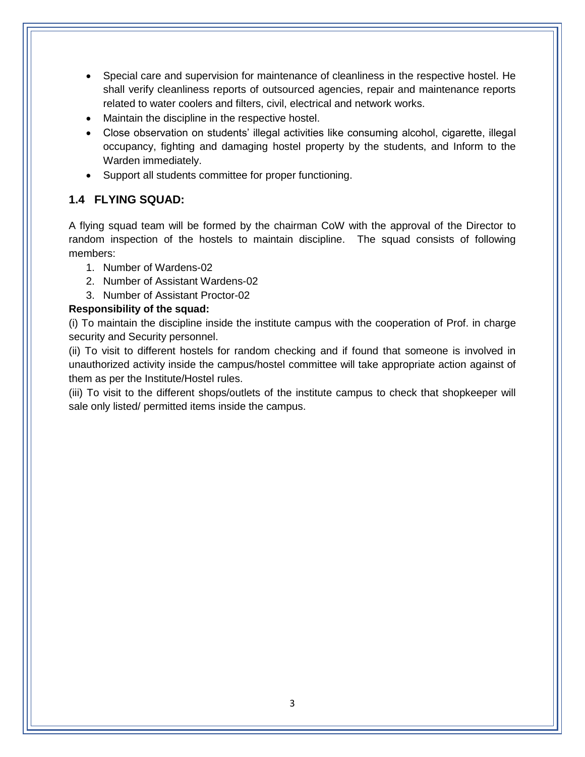- Special care and supervision for maintenance of cleanliness in the respective hostel. He shall verify cleanliness reports of outsourced agencies, repair and maintenance reports related to water coolers and filters, civil, electrical and network works.
- Maintain the discipline in the respective hostel.
- Close observation on students' illegal activities like consuming alcohol, cigarette, illegal occupancy, fighting and damaging hostel property by the students, and Inform to the Warden immediately.
- Support all students committee for proper functioning.

## **1.4 FLYING SQUAD:**

A flying squad team will be formed by the chairman CoW with the approval of the Director to random inspection of the hostels to maintain discipline. The squad consists of following members:

- 1. Number of Wardens-02
- 2. Number of Assistant Wardens-02
- 3. Number of Assistant Proctor-02

### **Responsibility of the squad:**

(i) To maintain the discipline inside the institute campus with the cooperation of Prof. in charge security and Security personnel.

(ii) To visit to different hostels for random checking and if found that someone is involved in unauthorized activity inside the campus/hostel committee will take appropriate action against of them as per the Institute/Hostel rules.

(iii) To visit to the different shops/outlets of the institute campus to check that shopkeeper will sale only listed/ permitted items inside the campus.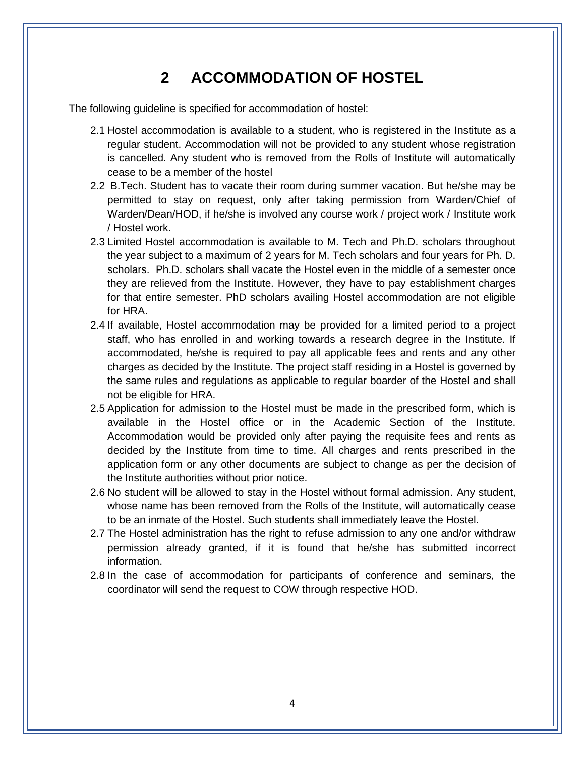## **2 ACCOMMODATION OF HOSTEL**

The following guideline is specified for accommodation of hostel:

- 2.1 Hostel accommodation is available to a student, who is registered in the Institute as a regular student. Accommodation will not be provided to any student whose registration is cancelled. Any student who is removed from the Rolls of Institute will automatically cease to be a member of the hostel
- 2.2 B.Tech. Student has to vacate their room during summer vacation. But he/she may be permitted to stay on request, only after taking permission from Warden/Chief of Warden/Dean/HOD, if he/she is involved any course work / project work / Institute work / Hostel work.
- 2.3 Limited Hostel accommodation is available to M. Tech and Ph.D. scholars throughout the year subject to a maximum of 2 years for M. Tech scholars and four years for Ph. D. scholars. Ph.D. scholars shall vacate the Hostel even in the middle of a semester once they are relieved from the Institute. However, they have to pay establishment charges for that entire semester. PhD scholars availing Hostel accommodation are not eligible for HRA.
- 2.4 If available, Hostel accommodation may be provided for a limited period to a project staff, who has enrolled in and working towards a research degree in the Institute. If accommodated, he/she is required to pay all applicable fees and rents and any other charges as decided by the Institute. The project staff residing in a Hostel is governed by the same rules and regulations as applicable to regular boarder of the Hostel and shall not be eligible for HRA.
- 2.5 Application for admission to the Hostel must be made in the prescribed form, which is available in the Hostel office or in the Academic Section of the Institute. Accommodation would be provided only after paying the requisite fees and rents as decided by the Institute from time to time. All charges and rents prescribed in the application form or any other documents are subject to change as per the decision of the Institute authorities without prior notice.
- 2.6 No student will be allowed to stay in the Hostel without formal admission. Any student, whose name has been removed from the Rolls of the Institute, will automatically cease to be an inmate of the Hostel. Such students shall immediately leave the Hostel.
- 2.7 The Hostel administration has the right to refuse admission to any one and/or withdraw permission already granted, if it is found that he/she has submitted incorrect information.
- 2.8 In the case of accommodation for participants of conference and seminars, the coordinator will send the request to COW through respective HOD.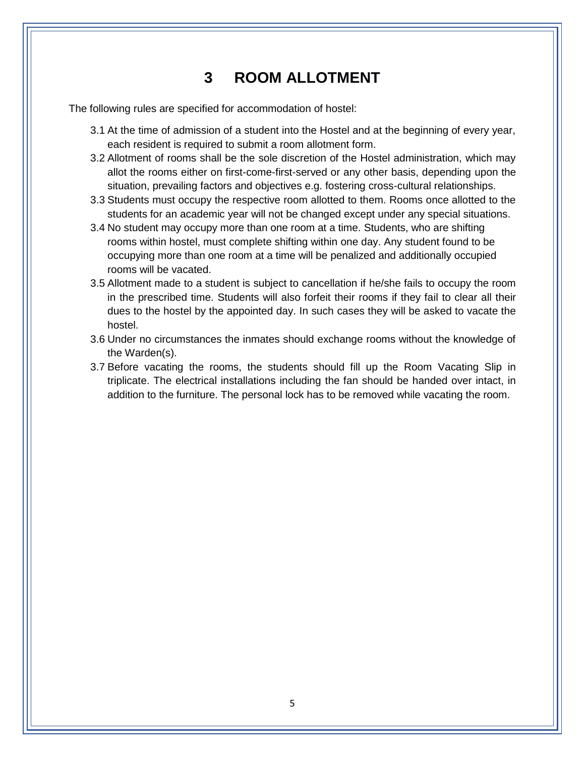## **3 ROOM ALLOTMENT**

The following rules are specified for accommodation of hostel:

- 3.1 At the time of admission of a student into the Hostel and at the beginning of every year, each resident is required to submit a room allotment form.
- 3.2 Allotment of rooms shall be the sole discretion of the Hostel administration, which may allot the rooms either on first-come-first-served or any other basis, depending upon the situation, prevailing factors and objectives e.g. fostering cross-cultural relationships.
- 3.3 Students must occupy the respective room allotted to them. Rooms once allotted to the students for an academic year will not be changed except under any special situations.
- 3.4 No student may occupy more than one room at a time. Students, who are shifting rooms within hostel, must complete shifting within one day. Any student found to be occupying more than one room at a time will be penalized and additionally occupied rooms will be vacated.
- 3.5 Allotment made to a student is subject to cancellation if he/she fails to occupy the room in the prescribed time. Students will also forfeit their rooms if they fail to clear all their dues to the hostel by the appointed day. In such cases they will be asked to vacate the hostel.
- 3.6 Under no circumstances the inmates should exchange rooms without the knowledge of the Warden(s).
- 3.7 Before vacating the rooms, the students should fill up the Room Vacating Slip in triplicate. The electrical installations including the fan should be handed over intact, in addition to the furniture. The personal lock has to be removed while vacating the room.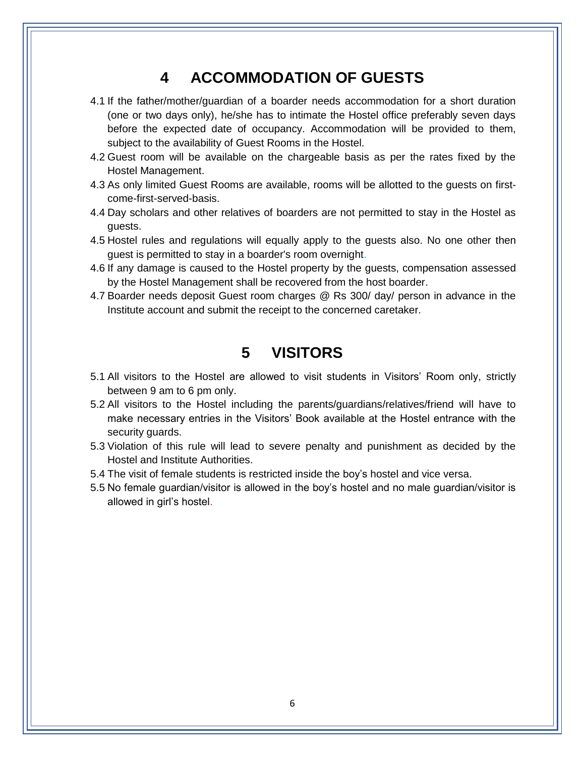## **4 ACCOMMODATION OF GUESTS**

- 4.1 If the father/mother/guardian of a boarder needs accommodation for a short duration (one or two days only), he/she has to intimate the Hostel office preferably seven days before the expected date of occupancy. Accommodation will be provided to them, subject to the availability of Guest Rooms in the Hostel.
- 4.2 Guest room will be available on the chargeable basis as per the rates fixed by the Hostel Management.
- 4.3 As only limited Guest Rooms are available, rooms will be allotted to the guests on firstcome-first-served-basis.
- 4.4 Day scholars and other relatives of boarders are not permitted to stay in the Hostel as guests.
- 4.5 Hostel rules and regulations will equally apply to the guests also. No one other then guest is permitted to stay in a boarder's room overnight.
- 4.6 If any damage is caused to the Hostel property by the guests, compensation assessed by the Hostel Management shall be recovered from the host boarder.
- 4.7 Boarder needs deposit Guest room charges @ Rs 300/ day/ person in advance in the Institute account and submit the receipt to the concerned caretaker.

## **5 VISITORS**

- 5.1 All visitors to the Hostel are allowed to visit students in Visitors' Room only, strictly between 9 am to 6 pm only.
- 5.2 All visitors to the Hostel including the parents/guardians/relatives/friend will have to make necessary entries in the Visitors' Book available at the Hostel entrance with the security guards.
- 5.3 Violation of this rule will lead to severe penalty and punishment as decided by the Hostel and Institute Authorities.
- 5.4 The visit of female students is restricted inside the boy's hostel and vice versa.
- 5.5 No female guardian/visitor is allowed in the boy's hostel and no male guardian/visitor is allowed in girl's hostel.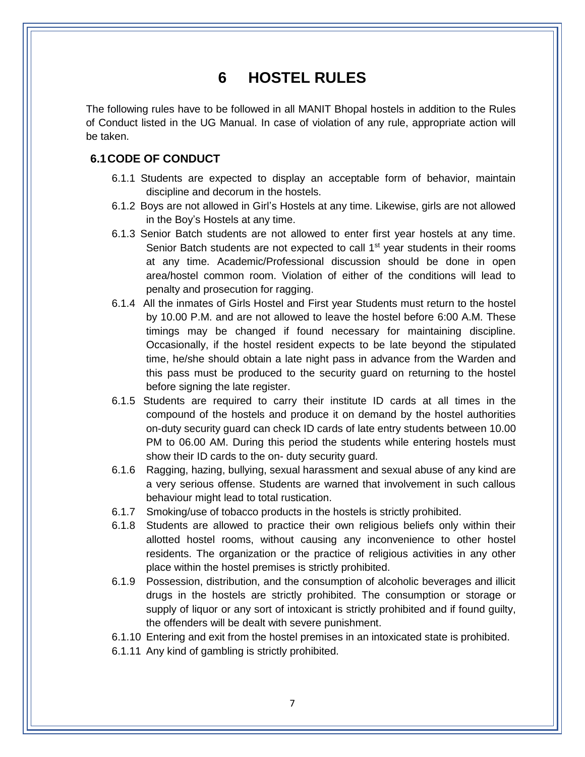## **6 HOSTEL RULES**

The following rules have to be followed in all MANIT Bhopal hostels in addition to the Rules of Conduct listed in the UG Manual. In case of violation of any rule, appropriate action will be taken.

### **6.1CODE OF CONDUCT**

- 6.1.1 Students are expected to display an acceptable form of behavior, maintain discipline and decorum in the hostels.
- 6.1.2 Boys are not allowed in Girl's Hostels at any time. Likewise, girls are not allowed in the Boy's Hostels at any time.
- 6.1.3 Senior Batch students are not allowed to enter first year hostels at any time. Senior Batch students are not expected to call 1<sup>st</sup> year students in their rooms at any time. Academic/Professional discussion should be done in open area/hostel common room. Violation of either of the conditions will lead to penalty and prosecution for ragging.
- 6.1.4 All the inmates of Girls Hostel and First year Students must return to the hostel by 10.00 P.M. and are not allowed to leave the hostel before 6:00 A.M. These timings may be changed if found necessary for maintaining discipline. Occasionally, if the hostel resident expects to be late beyond the stipulated time, he/she should obtain a late night pass in advance from the Warden and this pass must be produced to the security guard on returning to the hostel before signing the late register.
- 6.1.5 Students are required to carry their institute ID cards at all times in the compound of the hostels and produce it on demand by the hostel authorities on-duty security guard can check ID cards of late entry students between 10.00 PM to 06.00 AM. During this period the students while entering hostels must show their ID cards to the on- duty security guard.
- 6.1.6 Ragging, hazing, bullying, sexual harassment and sexual abuse of any kind are a very serious offense. Students are warned that involvement in such callous behaviour might lead to total rustication.
- 6.1.7 Smoking/use of tobacco products in the hostels is strictly prohibited.
- 6.1.8 Students are allowed to practice their own religious beliefs only within their allotted hostel rooms, without causing any inconvenience to other hostel residents. The organization or the practice of religious activities in any other place within the hostel premises is strictly prohibited.
- 6.1.9 Possession, distribution, and the consumption of alcoholic beverages and illicit drugs in the hostels are strictly prohibited. The consumption or storage or supply of liquor or any sort of intoxicant is strictly prohibited and if found guilty, the offenders will be dealt with severe punishment.
- 6.1.10 Entering and exit from the hostel premises in an intoxicated state is prohibited.
- 6.1.11 Any kind of gambling is strictly prohibited.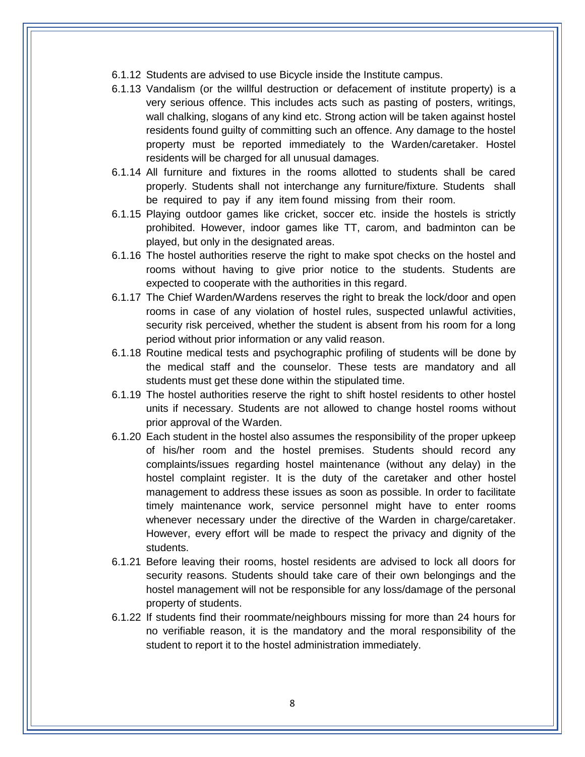- 6.1.12 Students are advised to use Bicycle inside the Institute campus.
- 6.1.13 Vandalism (or the willful destruction or defacement of institute property) is a very serious offence. This includes acts such as pasting of posters, writings, wall chalking, slogans of any kind etc. Strong action will be taken against hostel residents found guilty of committing such an offence. Any damage to the hostel property must be reported immediately to the Warden/caretaker. Hostel residents will be charged for all unusual damages.
- 6.1.14 All furniture and fixtures in the rooms allotted to students shall be cared properly. Students shall not interchange any furniture/fixture. Students shall be required to pay if any item found missing from their room.
- 6.1.15 Playing outdoor games like cricket, soccer etc. inside the hostels is strictly prohibited. However, indoor games like TT, carom, and badminton can be played, but only in the designated areas.
- 6.1.16 The hostel authorities reserve the right to make spot checks on the hostel and rooms without having to give prior notice to the students. Students are expected to cooperate with the authorities in this regard.
- 6.1.17 The Chief Warden/Wardens reserves the right to break the lock/door and open rooms in case of any violation of hostel rules, suspected unlawful activities, security risk perceived, whether the student is absent from his room for a long period without prior information or any valid reason.
- 6.1.18 Routine medical tests and psychographic profiling of students will be done by the medical staff and the counselor. These tests are mandatory and all students must get these done within the stipulated time.
- 6.1.19 The hostel authorities reserve the right to shift hostel residents to other hostel units if necessary. Students are not allowed to change hostel rooms without prior approval of the Warden.
- 6.1.20 Each student in the hostel also assumes the responsibility of the proper upkeep of his/her room and the hostel premises. Students should record any complaints/issues regarding hostel maintenance (without any delay) in the hostel complaint register. It is the duty of the caretaker and other hostel management to address these issues as soon as possible. In order to facilitate timely maintenance work, service personnel might have to enter rooms whenever necessary under the directive of the Warden in charge/caretaker. However, every effort will be made to respect the privacy and dignity of the students.
- 6.1.21 Before leaving their rooms, hostel residents are advised to lock all doors for security reasons. Students should take care of their own belongings and the hostel management will not be responsible for any loss/damage of the personal property of students.
- 6.1.22 If students find their roommate/neighbours missing for more than 24 hours for no verifiable reason, it is the mandatory and the moral responsibility of the student to report it to the hostel administration immediately.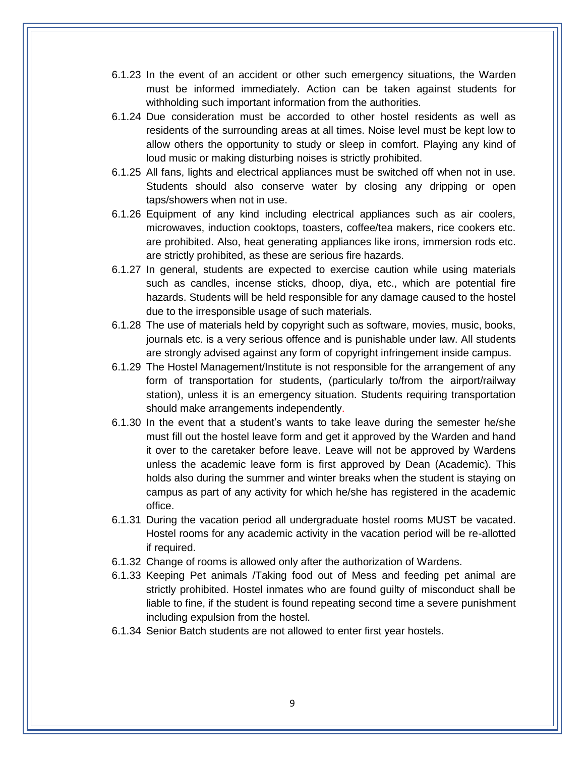- 6.1.23 In the event of an accident or other such emergency situations, the Warden must be informed immediately. Action can be taken against students for withholding such important information from the authorities.
- 6.1.24 Due consideration must be accorded to other hostel residents as well as residents of the surrounding areas at all times. Noise level must be kept low to allow others the opportunity to study or sleep in comfort. Playing any kind of loud music or making disturbing noises is strictly prohibited.
- 6.1.25 All fans, lights and electrical appliances must be switched off when not in use. Students should also conserve water by closing any dripping or open taps/showers when not in use.
- 6.1.26 Equipment of any kind including electrical appliances such as air coolers, microwaves, induction cooktops, toasters, coffee/tea makers, rice cookers etc. are prohibited. Also, heat generating appliances like irons, immersion rods etc. are strictly prohibited, as these are serious fire hazards.
- 6.1.27 In general, students are expected to exercise caution while using materials such as candles, incense sticks, dhoop, diya, etc., which are potential fire hazards. Students will be held responsible for any damage caused to the hostel due to the irresponsible usage of such materials.
- 6.1.28 The use of materials held by copyright such as software, movies, music, books, journals etc. is a very serious offence and is punishable under law. All students are strongly advised against any form of copyright infringement inside campus.
- 6.1.29 The Hostel Management/Institute is not responsible for the arrangement of any form of transportation for students, (particularly to/from the airport/railway station), unless it is an emergency situation. Students requiring transportation should make arrangements independently.
- 6.1.30 In the event that a student's wants to take leave during the semester he/she must fill out the hostel leave form and get it approved by the Warden and hand it over to the caretaker before leave. Leave will not be approved by Wardens unless the academic leave form is first approved by Dean (Academic). This holds also during the summer and winter breaks when the student is staying on campus as part of any activity for which he/she has registered in the academic office.
- 6.1.31 During the vacation period all undergraduate hostel rooms MUST be vacated. Hostel rooms for any academic activity in the vacation period will be re-allotted if required.
- 6.1.32 Change of rooms is allowed only after the authorization of Wardens.
- 6.1.33 Keeping Pet animals /Taking food out of Mess and feeding pet animal are strictly prohibited. Hostel inmates who are found guilty of misconduct shall be liable to fine, if the student is found repeating second time a severe punishment including expulsion from the hostel.
- 6.1.34 Senior Batch students are not allowed to enter first year hostels.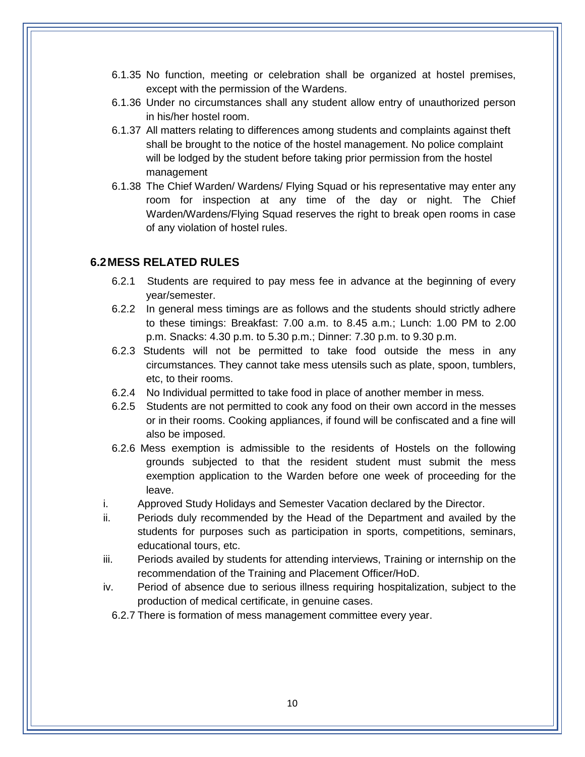- 6.1.35 No function, meeting or celebration shall be organized at hostel premises, except with the permission of the Wardens.
- 6.1.36 Under no circumstances shall any student allow entry of unauthorized person in his/her hostel room.
- 6.1.37 All matters relating to differences among students and complaints against theft shall be brought to the notice of the hostel management. No police complaint will be lodged by the student before taking prior permission from the hostel management
- 6.1.38 The Chief Warden/ Wardens/ Flying Squad or his representative may enter any room for inspection at any time of the day or night. The Chief Warden/Wardens/Flying Squad reserves the right to break open rooms in case of any violation of hostel rules.

### **6.2MESS RELATED RULES**

- 6.2.1 Students are required to pay mess fee in advance at the beginning of every year/semester.
- 6.2.2 In general mess timings are as follows and the students should strictly adhere to these timings: Breakfast: 7.00 a.m. to 8.45 a.m.; Lunch: 1.00 PM to 2.00 p.m. Snacks: 4.30 p.m. to 5.30 p.m.; Dinner: 7.30 p.m. to 9.30 p.m.
- 6.2.3 Students will not be permitted to take food outside the mess in any circumstances. They cannot take mess utensils such as plate, spoon, tumblers, etc, to their rooms.
- 6.2.4 No Individual permitted to take food in place of another member in mess.
- 6.2.5 Students are not permitted to cook any food on their own accord in the messes or in their rooms. Cooking appliances, if found will be confiscated and a fine will also be imposed.
- 6.2.6 Mess exemption is admissible to the residents of Hostels on the following grounds subjected to that the resident student must submit the mess exemption application to the Warden before one week of proceeding for the leave.
- i. Approved Study Holidays and Semester Vacation declared by the Director.
- ii. Periods duly recommended by the Head of the Department and availed by the students for purposes such as participation in sports, competitions, seminars, educational tours, etc.
- iii. Periods availed by students for attending interviews, Training or internship on the recommendation of the Training and Placement Officer/HoD.
- iv. Period of absence due to serious illness requiring hospitalization, subject to the production of medical certificate, in genuine cases.
	- 6.2.7 There is formation of mess management committee every year.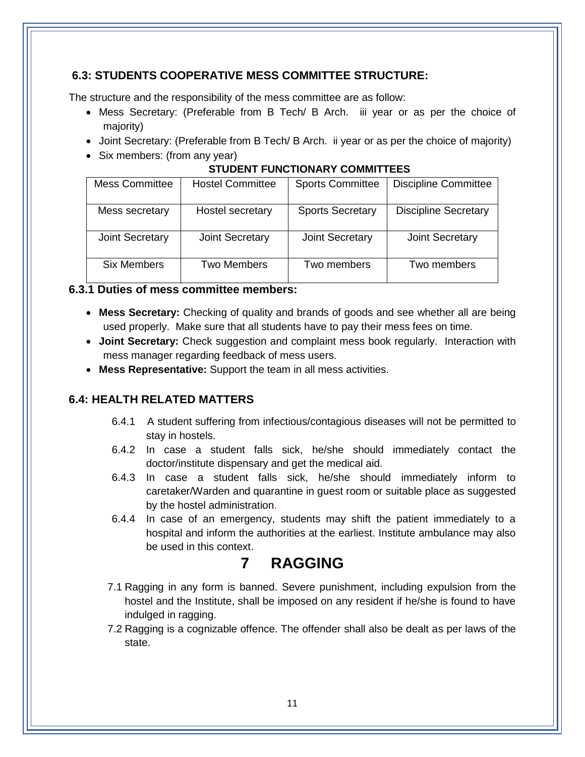## **6.3: STUDENTS COOPERATIVE MESS COMMITTEE STRUCTURE:**

The structure and the responsibility of the mess committee are as follow:

- Mess Secretary: (Preferable from B Tech/ B Arch. iii year or as per the choice of majority)
- Joint Secretary: (Preferable from B Tech/ B Arch. ii year or as per the choice of majority)
- Six members: (from any year)

### **STUDENT FUNCTIONARY COMMITTEES**

| <b>Mess Committee</b> | <b>Hostel Committee</b> | <b>Sports Committee</b> | <b>Discipline Committee</b> |
|-----------------------|-------------------------|-------------------------|-----------------------------|
| Mess secretary        | Hostel secretary        | <b>Sports Secretary</b> | <b>Discipline Secretary</b> |
| Joint Secretary       | <b>Joint Secretary</b>  | <b>Joint Secretary</b>  | <b>Joint Secretary</b>      |
| <b>Six Members</b>    | <b>Two Members</b>      | Two members             | Two members                 |

## **6.3.1 Duties of mess committee members:**

- **Mess Secretary:** Checking of quality and brands of goods and see whether all are being used properly. Make sure that all students have to pay their mess fees on time.
- **Joint Secretary:** Check suggestion and complaint mess book regularly. Interaction with mess manager regarding feedback of mess users.
- **Mess Representative:** Support the team in all mess activities.

## **6.4: HEALTH RELATED MATTERS**

- 6.4.1 A student suffering from infectious/contagious diseases will not be permitted to stay in hostels.
- 6.4.2 In case a student falls sick, he/she should immediately contact the doctor/institute dispensary and get the medical aid.
- 6.4.3 In case a student falls sick, he/she should immediately inform to caretaker/Warden and quarantine in guest room or suitable place as suggested by the hostel administration.
- 6.4.4 In case of an emergency, students may shift the patient immediately to a hospital and inform the authorities at the earliest. Institute ambulance may also be used in this context.

## **7 RAGGING**

- 7.1 Ragging in any form is banned. Severe punishment, including expulsion from the hostel and the Institute, shall be imposed on any resident if he/she is found to have indulged in ragging.
- 7.2 Ragging is a cognizable offence. The offender shall also be dealt as per laws of the state.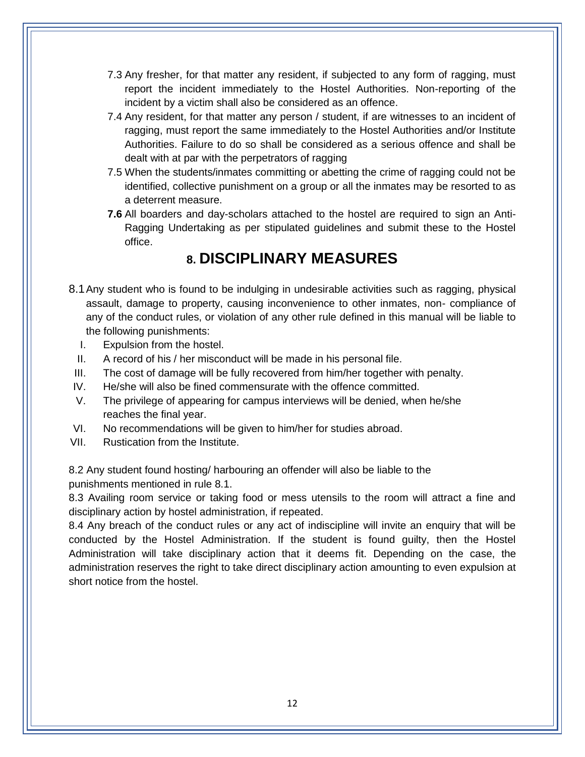- 7.3 Any fresher, for that matter any resident, if subjected to any form of ragging, must report the incident immediately to the Hostel Authorities. Non-reporting of the incident by a victim shall also be considered as an offence.
- 7.4 Any resident, for that matter any person / student, if are witnesses to an incident of ragging, must report the same immediately to the Hostel Authorities and/or Institute Authorities. Failure to do so shall be considered as a serious offence and shall be dealt with at par with the perpetrators of ragging
- 7.5 When the students/inmates committing or abetting the crime of ragging could not be identified, collective punishment on a group or all the inmates may be resorted to as a deterrent measure.
- **7.6** All boarders and day-scholars attached to the hostel are required to sign an Anti-Ragging Undertaking as per stipulated guidelines and submit these to the Hostel office.

## **8. DISCIPLINARY MEASURES**

- 8.1Any student who is found to be indulging in undesirable activities such as ragging, physical assault, damage to property, causing inconvenience to other inmates, non- compliance of any of the conduct rules, or violation of any other rule defined in this manual will be liable to the following punishments:
	- I. Expulsion from the hostel.
	- II. A record of his / her misconduct will be made in his personal file.
- III. The cost of damage will be fully recovered from him/her together with penalty.
- IV. He/she will also be fined commensurate with the offence committed.
- V. The privilege of appearing for campus interviews will be denied, when he/she reaches the final year.
- VI. No recommendations will be given to him/her for studies abroad.
- VII. Rustication from the Institute.

8.2 Any student found hosting/ harbouring an offender will also be liable to the punishments mentioned in rule 8.1.

8.3 Availing room service or taking food or mess utensils to the room will attract a fine and disciplinary action by hostel administration, if repeated.

8.4 Any breach of the conduct rules or any act of indiscipline will invite an enquiry that will be conducted by the Hostel Administration. If the student is found guilty, then the Hostel Administration will take disciplinary action that it deems fit. Depending on the case, the administration reserves the right to take direct disciplinary action amounting to even expulsion at short notice from the hostel.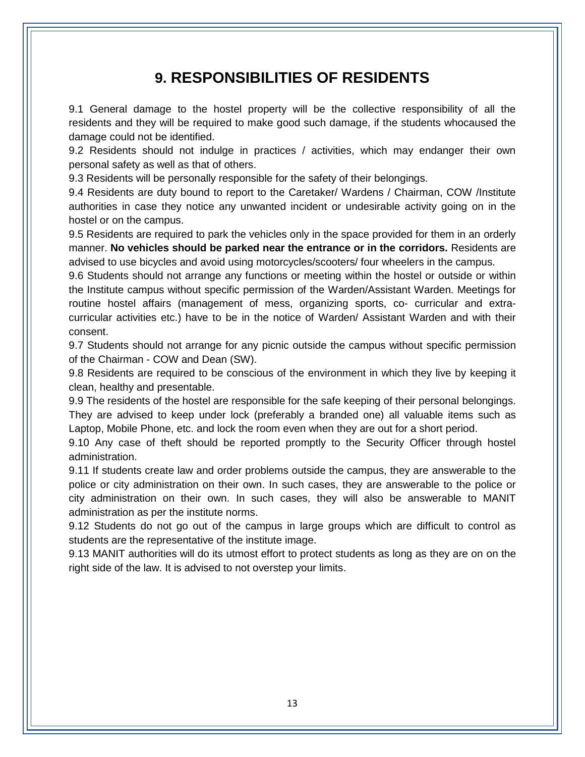## **9. RESPONSIBILITIES OF RESIDENTS**

9.1 General damage to the hostel property will be the collective responsibility of all the residents and they will be required to make good such damage, if the students whocaused the damage could not be identified.

9.2 Residents should not indulge in practices / activities, which may endanger their own personal safety as well as that of others.

9.3 Residents will be personally responsible for the safety of their belongings.

9.4 Residents are duty bound to report to the Caretaker/ Wardens / Chairman, COW /Institute authorities in case they notice any unwanted incident or undesirable activity going on in the hostel or on the campus.

9.5 Residents are required to park the vehicles only in the space provided for them in an orderly manner. **No vehicles should be parked near the entrance or in the corridors.** Residents are advised to use bicycles and avoid using motorcycles/scooters/ four wheelers in the campus.

9.6 Students should not arrange any functions or meeting within the hostel or outside or within the Institute campus without specific permission of the Warden/Assistant Warden. Meetings for routine hostel affairs (management of mess, organizing sports, co- curricular and extracurricular activities etc.) have to be in the notice of Warden/ Assistant Warden and with their consent.

9.7 Students should not arrange for any picnic outside the campus without specific permission of the Chairman - COW and Dean (SW).

9.8 Residents are required to be conscious of the environment in which they live by keeping it clean, healthy and presentable.

9.9 The residents of the hostel are responsible for the safe keeping of their personal belongings. They are advised to keep under lock (preferably a branded one) all valuable items such as Laptop, Mobile Phone, etc. and lock the room even when they are out for a short period.

9.10 Any case of theft should be reported promptly to the Security Officer through hostel administration.

9.11 If students create law and order problems outside the campus, they are answerable to the police or city administration on their own. In such cases, they are answerable to the police or city administration on their own. In such cases, they will also be answerable to MANIT administration as per the institute norms.

9.12 Students do not go out of the campus in large groups which are difficult to control as students are the representative of the institute image.

9.13 MANIT authorities will do its utmost effort to protect students as long as they are on on the right side of the law. It is advised to not overstep your limits.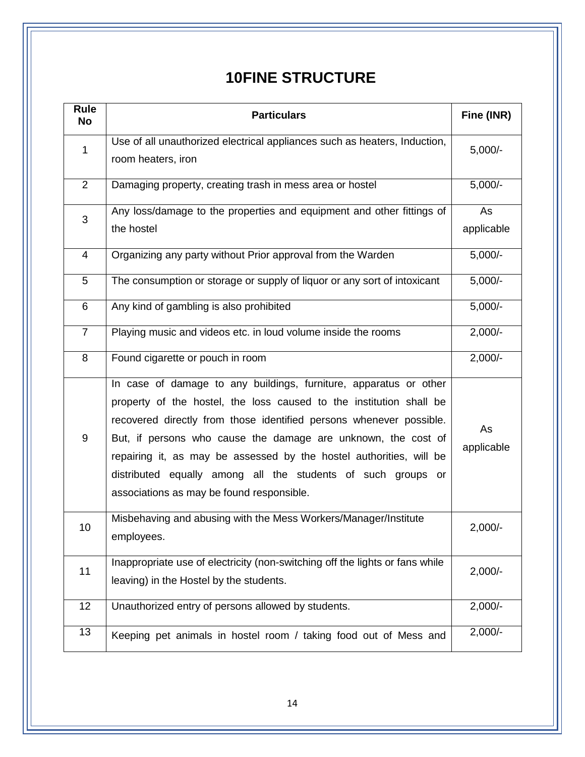## **10FINE STRUCTURE**

| Rule<br><b>No</b>        | <b>Particulars</b>                                                                                                                                                                                                                                                                                                                                                                                                                                                   | Fine (INR)       |
|--------------------------|----------------------------------------------------------------------------------------------------------------------------------------------------------------------------------------------------------------------------------------------------------------------------------------------------------------------------------------------------------------------------------------------------------------------------------------------------------------------|------------------|
| 1                        | Use of all unauthorized electrical appliances such as heaters, Induction,<br>room heaters, iron                                                                                                                                                                                                                                                                                                                                                                      | $5,000/-$        |
| $\overline{2}$           | Damaging property, creating trash in mess area or hostel                                                                                                                                                                                                                                                                                                                                                                                                             | $5,000/-$        |
| 3                        | Any loss/damage to the properties and equipment and other fittings of<br>the hostel                                                                                                                                                                                                                                                                                                                                                                                  | As<br>applicable |
| $\overline{\mathcal{A}}$ | Organizing any party without Prior approval from the Warden                                                                                                                                                                                                                                                                                                                                                                                                          | $5,000/-$        |
| 5                        | The consumption or storage or supply of liquor or any sort of intoxicant                                                                                                                                                                                                                                                                                                                                                                                             | $5,000/-$        |
| 6                        | Any kind of gambling is also prohibited                                                                                                                                                                                                                                                                                                                                                                                                                              | $5,000/-$        |
| $\overline{7}$           | Playing music and videos etc. in loud volume inside the rooms                                                                                                                                                                                                                                                                                                                                                                                                        | $2,000/-$        |
| 8                        | Found cigarette or pouch in room                                                                                                                                                                                                                                                                                                                                                                                                                                     | $2,000/-$        |
| $\boldsymbol{9}$         | In case of damage to any buildings, furniture, apparatus or other<br>property of the hostel, the loss caused to the institution shall be<br>recovered directly from those identified persons whenever possible.<br>But, if persons who cause the damage are unknown, the cost of<br>repairing it, as may be assessed by the hostel authorities, will be<br>distributed equally among all the students of such groups or<br>associations as may be found responsible. | As<br>applicable |
| 10                       | Misbehaving and abusing with the Mess Workers/Manager/Institute<br>employees.                                                                                                                                                                                                                                                                                                                                                                                        | $2,000/-$        |
| 11                       | Inappropriate use of electricity (non-switching off the lights or fans while<br>leaving) in the Hostel by the students.                                                                                                                                                                                                                                                                                                                                              | $2,000/-$        |
| 12                       | Unauthorized entry of persons allowed by students.                                                                                                                                                                                                                                                                                                                                                                                                                   | $2,000/-$        |
| 13                       | Keeping pet animals in hostel room / taking food out of Mess and                                                                                                                                                                                                                                                                                                                                                                                                     | $2,000/-$        |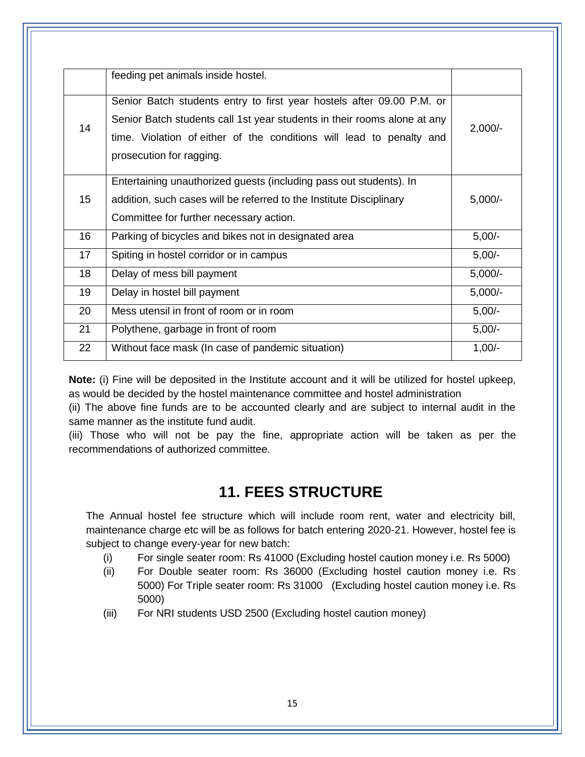|    | feeding pet animals inside hostel.                                                                                                                                                                                                                    |           |
|----|-------------------------------------------------------------------------------------------------------------------------------------------------------------------------------------------------------------------------------------------------------|-----------|
| 14 | Senior Batch students entry to first year hostels after 09.00 P.M. or<br>Senior Batch students call 1st year students in their rooms alone at any<br>time. Violation of either of the conditions will lead to penalty and<br>prosecution for ragging. | $2,000/-$ |
| 15 | Entertaining unauthorized guests (including pass out students). In<br>addition, such cases will be referred to the Institute Disciplinary<br>Committee for further necessary action.                                                                  | $5,000/-$ |
| 16 | Parking of bicycles and bikes not in designated area                                                                                                                                                                                                  | $5,00/-$  |
| 17 | Spiting in hostel corridor or in campus                                                                                                                                                                                                               | $5,00/-$  |
| 18 | Delay of mess bill payment                                                                                                                                                                                                                            | $5,000/-$ |
| 19 | Delay in hostel bill payment                                                                                                                                                                                                                          | $5,000/-$ |
| 20 | Mess utensil in front of room or in room                                                                                                                                                                                                              | $5,00/-$  |
| 21 | Polythene, garbage in front of room                                                                                                                                                                                                                   | $5,00/-$  |
| 22 | Without face mask (In case of pandemic situation)                                                                                                                                                                                                     | $1,00/-$  |

**Note:** (i) Fine will be deposited in the Institute account and it will be utilized for hostel upkeep, as would be decided by the hostel maintenance committee and hostel administration

(ii) The above fine funds are to be accounted clearly and are subject to internal audit in the same manner as the institute fund audit.

(iii) Those who will not be pay the fine, appropriate action will be taken as per the recommendations of authorized committee.

## **11. FEES STRUCTURE**

The Annual hostel fee structure which will include room rent, water and electricity bill, maintenance charge etc will be as follows for batch entering 2020-21. However, hostel fee is subject to change every-year for new batch:

- (i) For single seater room: Rs 41000 (Excluding hostel caution money i.e. Rs 5000)
- (ii) For Double seater room: Rs 36000 (Excluding hostel caution money i.e. Rs 5000) For Triple seater room: Rs 31000 (Excluding hostel caution money i.e. Rs 5000)
- (iii) For NRI students USD 2500 (Excluding hostel caution money)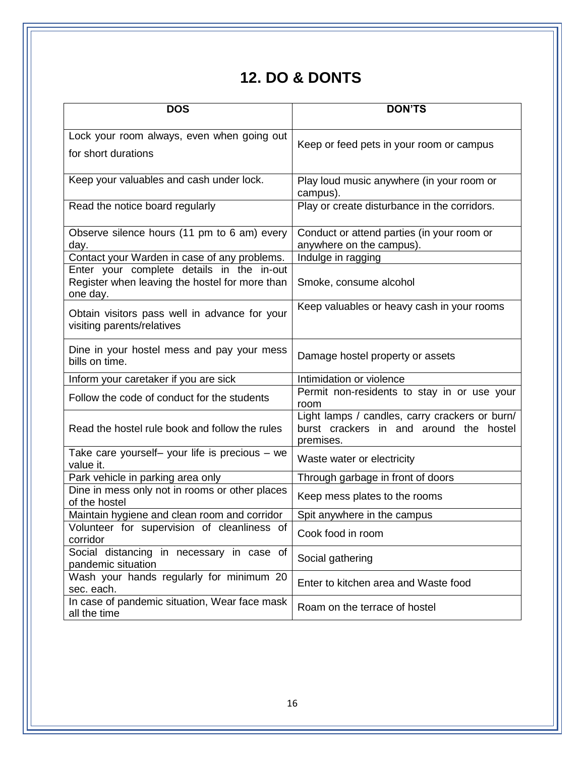## **12. DO & DONTS**

| <b>DOS</b>                                                                                              | <b>DON'TS</b>                                                                                          |
|---------------------------------------------------------------------------------------------------------|--------------------------------------------------------------------------------------------------------|
| Lock your room always, even when going out                                                              | Keep or feed pets in your room or campus                                                               |
| for short durations                                                                                     |                                                                                                        |
| Keep your valuables and cash under lock.                                                                | Play loud music anywhere (in your room or<br>campus).                                                  |
| Read the notice board regularly                                                                         | Play or create disturbance in the corridors.                                                           |
| Observe silence hours (11 pm to 6 am) every<br>day.                                                     | Conduct or attend parties (in your room or<br>anywhere on the campus).                                 |
| Contact your Warden in case of any problems.                                                            | Indulge in ragging                                                                                     |
| Enter your complete details in the in-out<br>Register when leaving the hostel for more than<br>one day. | Smoke, consume alcohol                                                                                 |
| Obtain visitors pass well in advance for your<br>visiting parents/relatives                             | Keep valuables or heavy cash in your rooms                                                             |
| Dine in your hostel mess and pay your mess<br>bills on time.                                            | Damage hostel property or assets                                                                       |
| Inform your caretaker if you are sick                                                                   | Intimidation or violence                                                                               |
| Follow the code of conduct for the students                                                             | Permit non-residents to stay in or use your<br>room                                                    |
| Read the hostel rule book and follow the rules                                                          | Light lamps / candles, carry crackers or burn/<br>burst crackers in and around the hostel<br>premises. |
| Take care yourself- your life is precious - we<br>value it.                                             | Waste water or electricity                                                                             |
| Park vehicle in parking area only                                                                       | Through garbage in front of doors                                                                      |
| Dine in mess only not in rooms or other places<br>of the hostel                                         | Keep mess plates to the rooms                                                                          |
| Maintain hygiene and clean room and corridor                                                            | Spit anywhere in the campus                                                                            |
| Volunteer for supervision of cleanliness of<br>corridor                                                 | Cook food in room                                                                                      |
| Social distancing in necessary in case of<br>pandemic situation                                         | Social gathering                                                                                       |
| Wash your hands regularly for minimum 20<br>sec. each.                                                  | Enter to kitchen area and Waste food                                                                   |
| In case of pandemic situation, Wear face mask<br>all the time                                           | Roam on the terrace of hostel                                                                          |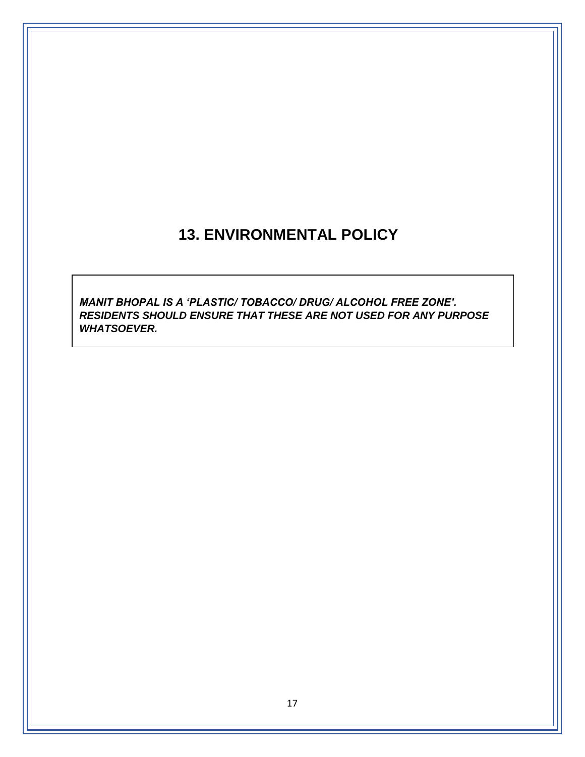## **13. ENVIRONMENTAL POLICY**

*MANIT BHOPAL IS A 'PLASTIC/ TOBACCO/ DRUG/ ALCOHOL FREE ZONE'. RESIDENTS SHOULD ENSURE THAT THESE ARE NOT USED FOR ANY PURPOSE WHATSOEVER.*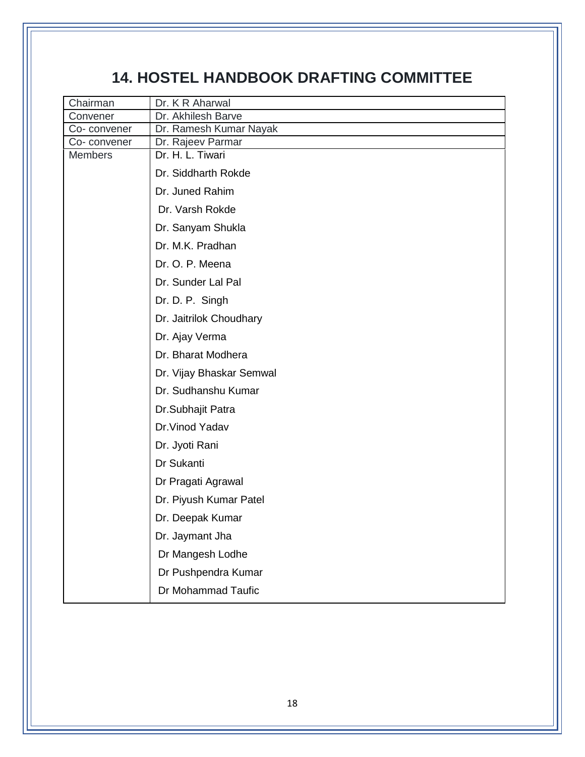## **14. HOSTEL HANDBOOK DRAFTING COMMITTEE**

| Chairman                      | Dr. K R Aharwal                       |
|-------------------------------|---------------------------------------|
| Convener                      | Dr. Akhilesh Barve                    |
| Co-convener                   | Dr. Ramesh Kumar Nayak                |
| Co-convener<br><b>Members</b> | Dr. Rajeev Parmar<br>Dr. H. L. Tiwari |
|                               |                                       |
|                               | Dr. Siddharth Rokde                   |
|                               | Dr. Juned Rahim                       |
|                               | Dr. Varsh Rokde                       |
|                               | Dr. Sanyam Shukla                     |
|                               | Dr. M.K. Pradhan                      |
|                               | Dr. O. P. Meena                       |
|                               | Dr. Sunder Lal Pal                    |
|                               | Dr. D. P. Singh                       |
|                               | Dr. Jaitrilok Choudhary               |
|                               | Dr. Ajay Verma                        |
|                               | Dr. Bharat Modhera                    |
|                               | Dr. Vijay Bhaskar Semwal              |
|                               | Dr. Sudhanshu Kumar                   |
|                               | Dr.Subhajit Patra                     |
|                               | Dr. Vinod Yadav                       |
|                               | Dr. Jyoti Rani                        |
|                               | Dr Sukanti                            |
|                               | Dr Pragati Agrawal                    |
|                               | Dr. Piyush Kumar Patel                |
|                               | Dr. Deepak Kumar                      |
|                               | Dr. Jaymant Jha                       |
|                               | Dr Mangesh Lodhe                      |
|                               | Dr Pushpendra Kumar                   |
|                               | Dr Mohammad Taufic                    |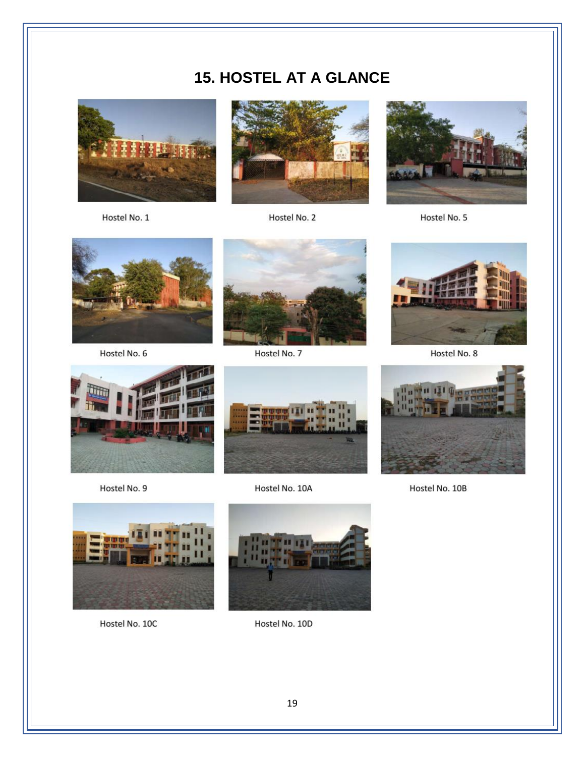## **15. HOSTEL AT A GLANCE**



Hostel No. 1



Hostel No. 2



Hostel No. 5



Hostel No. 6



Hostel No. 7



Hostel No. 8



Hostel No. 9



Hostel No. 10A



Hostel No. 10B



Hostel No. 10C



Hostel No. 10D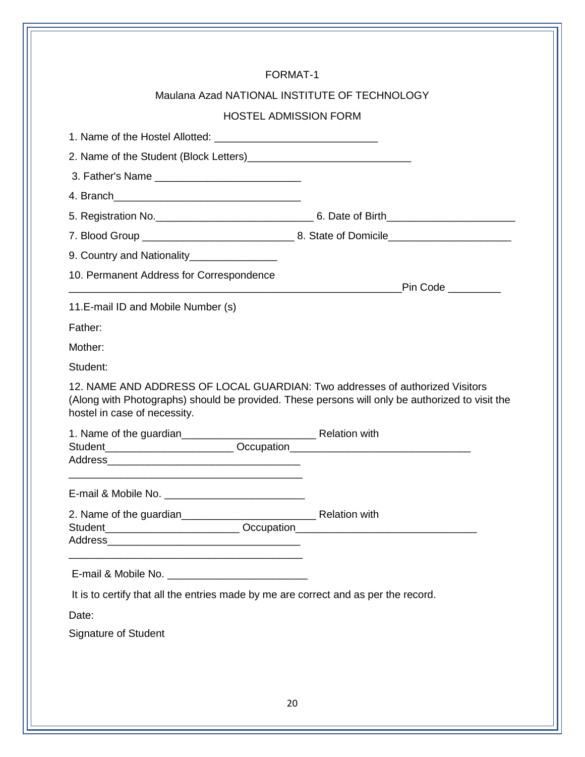| Maulana Azad NATIONAL INSTITUTE OF TECHNOLOGY<br><b>HOSTEL ADMISSION FORM</b>                                                                                                                                   |                      |
|-----------------------------------------------------------------------------------------------------------------------------------------------------------------------------------------------------------------|----------------------|
|                                                                                                                                                                                                                 |                      |
|                                                                                                                                                                                                                 |                      |
|                                                                                                                                                                                                                 |                      |
|                                                                                                                                                                                                                 |                      |
|                                                                                                                                                                                                                 |                      |
|                                                                                                                                                                                                                 |                      |
|                                                                                                                                                                                                                 |                      |
|                                                                                                                                                                                                                 |                      |
| 10. Permanent Address for Correspondence                                                                                                                                                                        |                      |
| <u> 1989 - Johann Stein, marwolaethau a bhann an t-Amhraid an t-Amhraid an t-Amhraid an t-Amhraid an t-Amhraid an</u>                                                                                           | _Pin Code __________ |
| 11.E-mail ID and Mobile Number (s)                                                                                                                                                                              |                      |
|                                                                                                                                                                                                                 |                      |
|                                                                                                                                                                                                                 |                      |
|                                                                                                                                                                                                                 |                      |
| Father:<br>Mother:<br>Student:                                                                                                                                                                                  |                      |
| 12. NAME AND ADDRESS OF LOCAL GUARDIAN: Two addresses of authorized Visitors<br>(Along with Photographs) should be provided. These persons will only be authorized to visit the<br>hostel in case of necessity. |                      |
|                                                                                                                                                                                                                 |                      |
|                                                                                                                                                                                                                 |                      |
|                                                                                                                                                                                                                 |                      |
| It is to certify that all the entries made by me are correct and as per the record.                                                                                                                             |                      |
| Date:                                                                                                                                                                                                           |                      |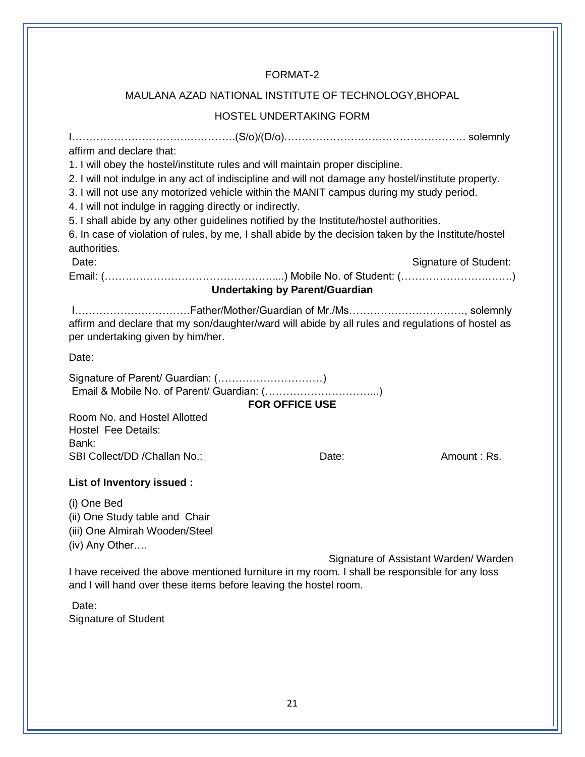### FORMAT-2

### MAULANA AZAD NATIONAL INSTITUTE OF TECHNOLOGY,BHOPAL

### HOSTEL UNDERTAKING FORM

| affirm and declare that:                                                                                                                                                                                                                                                                                                                                                                                                                                     |                                       |                       |  |  |
|--------------------------------------------------------------------------------------------------------------------------------------------------------------------------------------------------------------------------------------------------------------------------------------------------------------------------------------------------------------------------------------------------------------------------------------------------------------|---------------------------------------|-----------------------|--|--|
| 1. I will obey the hostel/institute rules and will maintain proper discipline.                                                                                                                                                                                                                                                                                                                                                                               |                                       |                       |  |  |
| 2. I will not indulge in any act of indiscipline and will not damage any hostel/institute property.<br>3. I will not use any motorized vehicle within the MANIT campus during my study period.<br>4. I will not indulge in ragging directly or indirectly.<br>5. I shall abide by any other guidelines notified by the Institute/hostel authorities.<br>6. In case of violation of rules, by me, I shall abide by the decision taken by the Institute/hostel |                                       |                       |  |  |
| authorities.                                                                                                                                                                                                                                                                                                                                                                                                                                                 |                                       |                       |  |  |
| Date:                                                                                                                                                                                                                                                                                                                                                                                                                                                        | <b>Undertaking by Parent/Guardian</b> | Signature of Student: |  |  |
| affirm and declare that my son/daughter/ward will abide by all rules and regulations of hostel as<br>per undertaking given by him/her.                                                                                                                                                                                                                                                                                                                       |                                       |                       |  |  |
| Date:                                                                                                                                                                                                                                                                                                                                                                                                                                                        |                                       |                       |  |  |
| Signature of Parent/ Guardian: ()<br><b>FOR OFFICE USE</b>                                                                                                                                                                                                                                                                                                                                                                                                   |                                       |                       |  |  |
| Room No. and Hostel Allotted<br><b>Hostel Fee Details:</b><br>Bank:                                                                                                                                                                                                                                                                                                                                                                                          |                                       |                       |  |  |
| SBI Collect/DD / Challan No.:                                                                                                                                                                                                                                                                                                                                                                                                                                | Date:                                 | Amount: Rs.           |  |  |
| List of Inventory issued :                                                                                                                                                                                                                                                                                                                                                                                                                                   |                                       |                       |  |  |
| (i) One Bed<br>(ii) One Study table and Chair<br>(iii) One Almirah Wooden/Steel<br>(iv) Any Other                                                                                                                                                                                                                                                                                                                                                            |                                       |                       |  |  |
| Signature of Assistant Warden/ Warden<br>I have received the above mentioned furniture in my room. I shall be responsible for any loss<br>and I will hand over these items before leaving the hostel room.                                                                                                                                                                                                                                                   |                                       |                       |  |  |
| Date:<br><b>Signature of Student</b>                                                                                                                                                                                                                                                                                                                                                                                                                         |                                       |                       |  |  |
|                                                                                                                                                                                                                                                                                                                                                                                                                                                              |                                       |                       |  |  |
|                                                                                                                                                                                                                                                                                                                                                                                                                                                              |                                       |                       |  |  |
|                                                                                                                                                                                                                                                                                                                                                                                                                                                              |                                       |                       |  |  |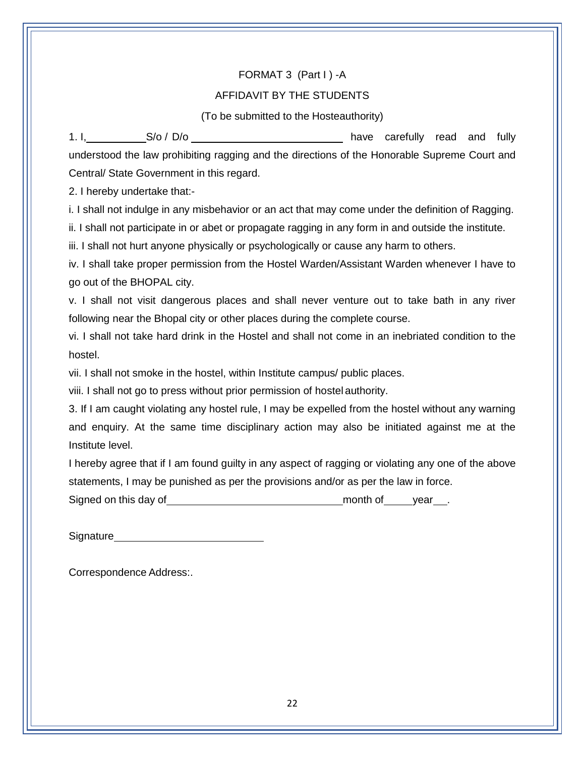#### FORMAT 3 (Part I) -A

#### AFFIDAVIT BY THE STUDENTS

(To be submitted to the Hosteauthority)

1. I, S/o / D/o **S/o / D/o** have carefully read and fully understood the law prohibiting ragging and the directions of the Honorable Supreme Court and Central/ State Government in this regard.

2. I hereby undertake that:-

i. I shall not indulge in any misbehavior or an act that may come under the definition of Ragging.

ii. I shall not participate in or abet or propagate ragging in any form in and outside the institute.

iii. I shall not hurt anyone physically or psychologically or cause any harm to others.

iv. I shall take proper permission from the Hostel Warden/Assistant Warden whenever I have to go out of the BHOPAL city.

v. I shall not visit dangerous places and shall never venture out to take bath in any river following near the Bhopal city or other places during the complete course.

vi. I shall not take hard drink in the Hostel and shall not come in an inebriated condition to the hostel.

vii. I shall not smoke in the hostel, within Institute campus/ public places.

viii. I shall not go to press without prior permission of hostel authority.

3. If I am caught violating any hostel rule, I may be expelled from the hostel without any warning and enquiry. At the same time disciplinary action may also be initiated against me at the Institute level.

I hereby agree that if I am found guilty in any aspect of ragging or violating any one of the above statements, I may be punished as per the provisions and/or as per the law in force.

Signed on this day of <u>contained a set of month of year</u>.

Signature Signature Contract of the Signature Contract of the Signature Contract of the Contract of the Contract of the Contract of the Contract of the Contract of the Contract of the Contract of the Contract of the Contra

Correspondence Address:.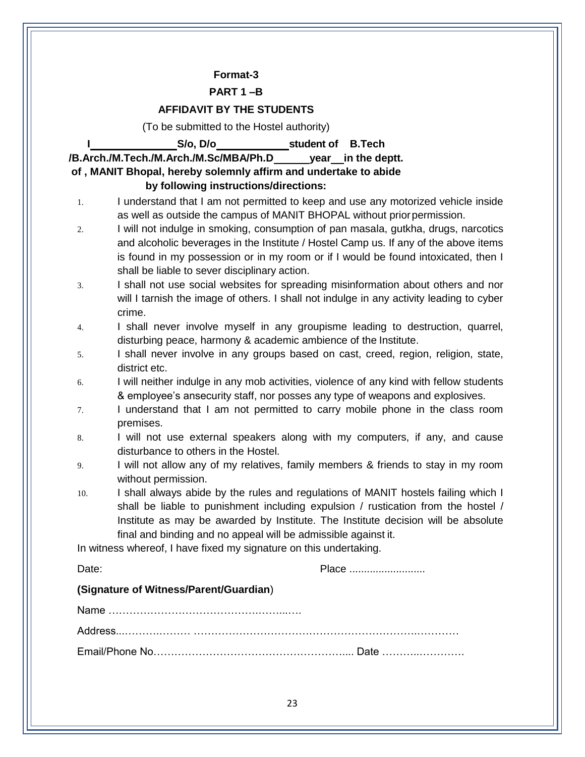#### **Format-3**

#### **PART 1 –B**

#### **AFFIDAVIT BY THE STUDENTS**

(To be submitted to the Hostel authority)

**I S/o, D/o student of B.Tech**

**/B.Arch./M.Tech./M.Arch./M.Sc/MBA/Ph.D year in the deptt.** 

#### **of , MANIT Bhopal, hereby solemnly affirm and undertake to abide by following instructions/directions:**

- 1. I understand that I am not permitted to keep and use any motorized vehicle inside as well as outside the campus of MANIT BHOPAL without priorpermission.
	- 2. I will not indulge in smoking, consumption of pan masala, gutkha, drugs, narcotics and alcoholic beverages in the Institute / Hostel Camp us. If any of the above items is found in my possession or in my room or if I would be found intoxicated, then I shall be liable to sever disciplinary action.
	- 3. I shall not use social websites for spreading misinformation about others and nor will I tarnish the image of others. I shall not indulge in any activity leading to cyber crime.

4. I shall never involve myself in any groupisme leading to destruction, quarrel, disturbing peace, harmony & academic ambience of the Institute.

- 5. I shall never involve in any groups based on cast, creed, region, religion, state, district etc.
- 6. I will neither indulge in any mob activities, violence of any kind with fellow students & employee's ansecurity staff, nor posses any type of weapons and explosives.
- 7. I understand that I am not permitted to carry mobile phone in the class room premises.
- 8. I will not use external speakers along with my computers, if any, and cause disturbance to others in the Hostel.
- 9. I will not allow any of my relatives, family members & friends to stay in my room without permission.
- 10. I shall always abide by the rules and regulations of MANIT hostels failing which I shall be liable to punishment including expulsion / rustication from the hostel / Institute as may be awarded by Institute. The Institute decision will be absolute final and binding and no appeal will be admissible against it.

In witness whereof, I have fixed my signature on this undertaking.

| Date:                                  |  |
|----------------------------------------|--|
| (Signature of Witness/Parent/Guardian) |  |
|                                        |  |
|                                        |  |
|                                        |  |
|                                        |  |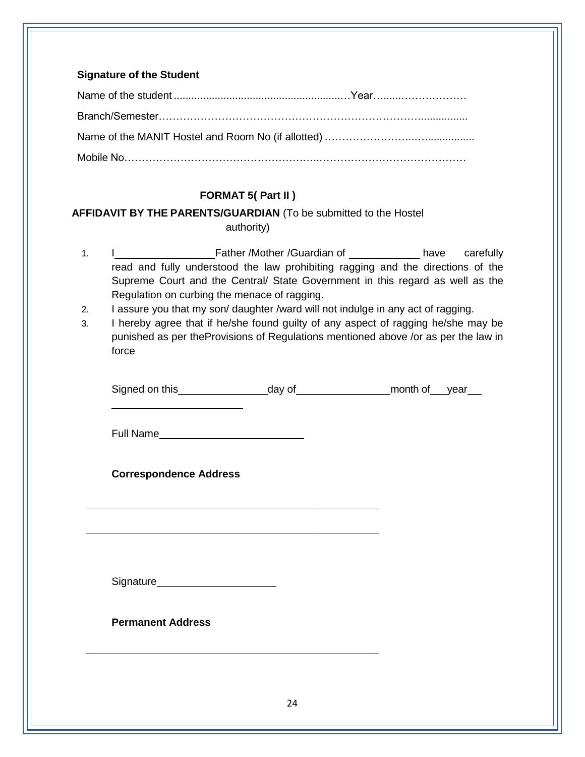### **Signature of the Student**

### **FORMAT 5( Part II )**

## **AFFIDAVIT BY THE PARENTS/GUARDIAN** (To be submitted to the Hostel authority)

- 1. I **I** Father /Mother /Guardian of have carefully read and fully understood the law prohibiting ragging and the directions of the Supreme Court and the Central/ State Government in this regard as well as the Regulation on curbing the menace of ragging.
- 2. I assure you that my son/ daughter /ward will not indulge in any act of ragging.
- 3. I hereby agree that if he/she found guilty of any aspect of ragging he/she may be punished as per theProvisions of Regulations mentioned above /or as per the law in force

| Signed on this |        | month of |      |
|----------------|--------|----------|------|
|                | dav of |          | vear |
|                |        |          |      |

Full Name **Example 20** 

**Correspondence Address**

Signature

**Permanent Address**